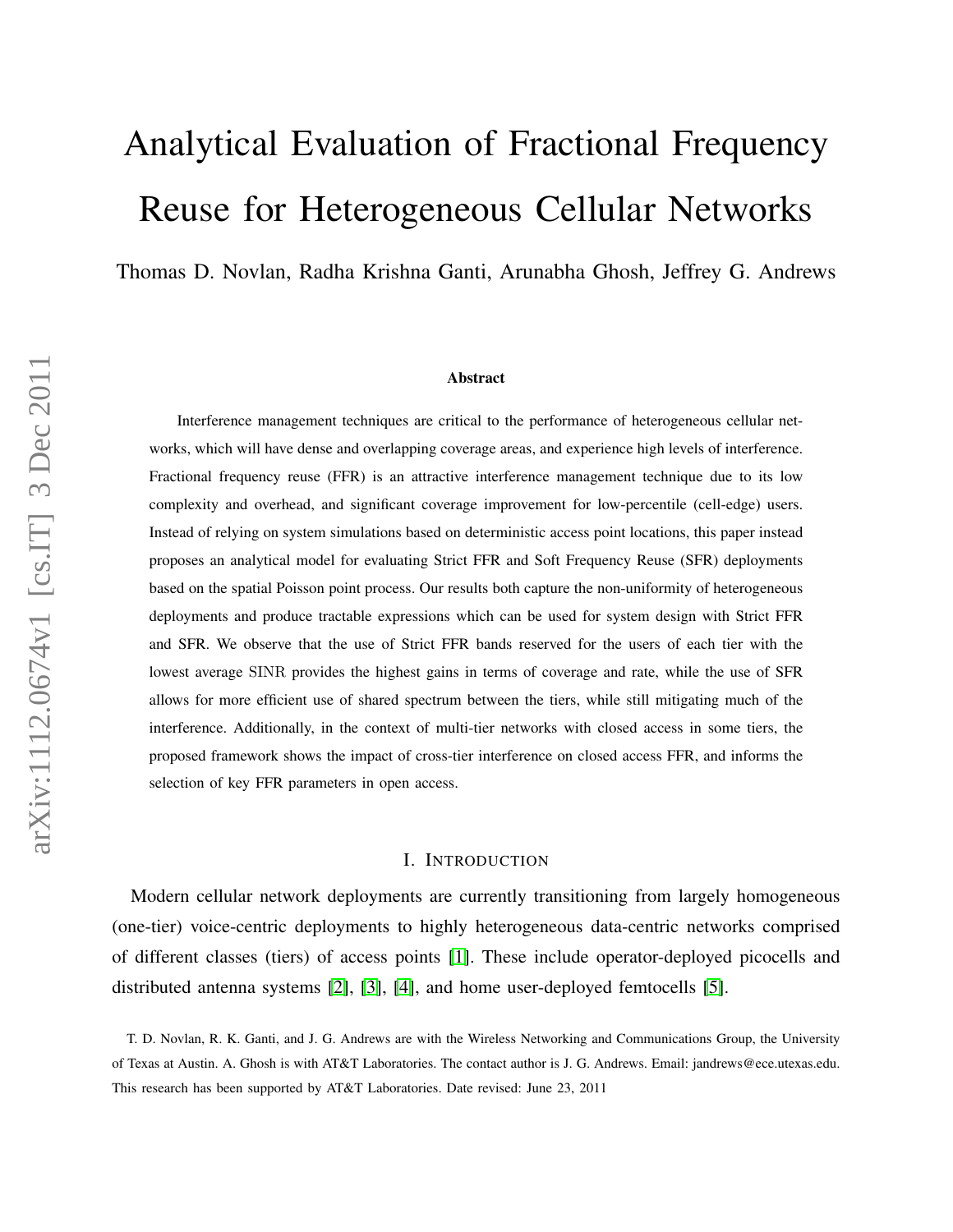# Analytical Evaluation of Fractional Frequency Reuse for Heterogeneous Cellular Networks

Thomas D. Novlan, Radha Krishna Ganti, Arunabha Ghosh, Jeffrey G. Andrews

#### Abstract

Interference management techniques are critical to the performance of heterogeneous cellular networks, which will have dense and overlapping coverage areas, and experience high levels of interference. Fractional frequency reuse (FFR) is an attractive interference management technique due to its low complexity and overhead, and significant coverage improvement for low-percentile (cell-edge) users. Instead of relying on system simulations based on deterministic access point locations, this paper instead proposes an analytical model for evaluating Strict FFR and Soft Frequency Reuse (SFR) deployments based on the spatial Poisson point process. Our results both capture the non-uniformity of heterogeneous deployments and produce tractable expressions which can be used for system design with Strict FFR and SFR. We observe that the use of Strict FFR bands reserved for the users of each tier with the lowest average SINR provides the highest gains in terms of coverage and rate, while the use of SFR allows for more efficient use of shared spectrum between the tiers, while still mitigating much of the interference. Additionally, in the context of multi-tier networks with closed access in some tiers, the proposed framework shows the impact of cross-tier interference on closed access FFR, and informs the selection of key FFR parameters in open access.

#### I. INTRODUCTION

Modern cellular network deployments are currently transitioning from largely homogeneous (one-tier) voice-centric deployments to highly heterogeneous data-centric networks comprised of different classes (tiers) of access points [\[1\]](#page-18-0). These include operator-deployed picocells and distributed antenna systems [\[2\]](#page-18-1), [\[3\]](#page-18-2), [\[4\]](#page-18-3), and home user-deployed femtocells [\[5\]](#page-18-4).

T. D. Novlan, R. K. Ganti, and J. G. Andrews are with the Wireless Networking and Communications Group, the University of Texas at Austin. A. Ghosh is with AT&T Laboratories. The contact author is J. G. Andrews. Email: jandrews@ece.utexas.edu. This research has been supported by AT&T Laboratories. Date revised: June 23, 2011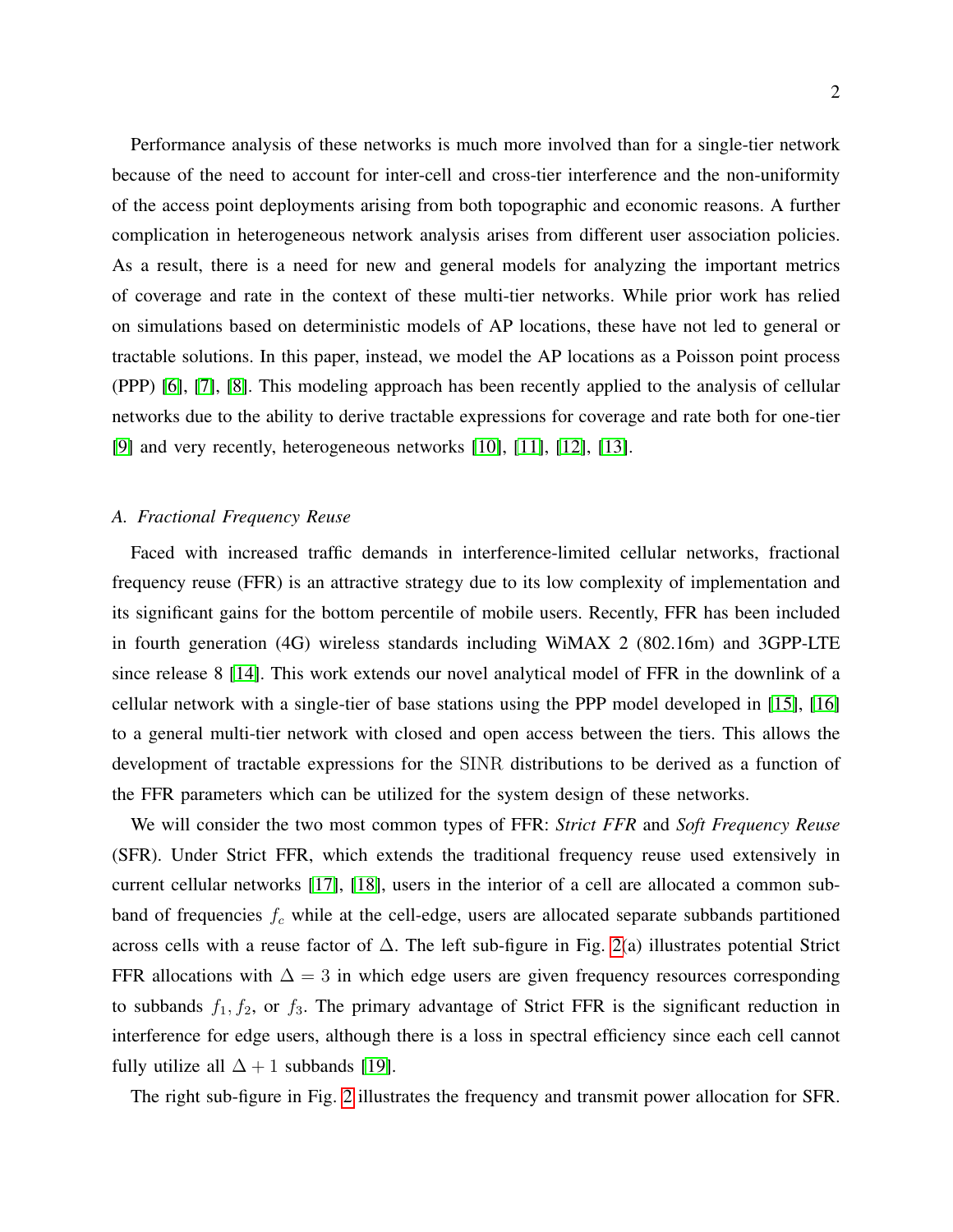Performance analysis of these networks is much more involved than for a single-tier network because of the need to account for inter-cell and cross-tier interference and the non-uniformity of the access point deployments arising from both topographic and economic reasons. A further complication in heterogeneous network analysis arises from different user association policies. As a result, there is a need for new and general models for analyzing the important metrics of coverage and rate in the context of these multi-tier networks. While prior work has relied on simulations based on deterministic models of AP locations, these have not led to general or tractable solutions. In this paper, instead, we model the AP locations as a Poisson point process (PPP) [\[6\]](#page-18-5), [\[7\]](#page-18-6), [\[8\]](#page-18-7). This modeling approach has been recently applied to the analysis of cellular networks due to the ability to derive tractable expressions for coverage and rate both for one-tier [\[9\]](#page-18-8) and very recently, heterogeneous networks [\[10\]](#page-18-9), [\[11\]](#page-19-0), [\[12\]](#page-19-1), [\[13\]](#page-19-2).

# *A. Fractional Frequency Reuse*

Faced with increased traffic demands in interference-limited cellular networks, fractional frequency reuse (FFR) is an attractive strategy due to its low complexity of implementation and its significant gains for the bottom percentile of mobile users. Recently, FFR has been included in fourth generation (4G) wireless standards including WiMAX 2 (802.16m) and 3GPP-LTE since release 8 [\[14\]](#page-19-3). This work extends our novel analytical model of FFR in the downlink of a cellular network with a single-tier of base stations using the PPP model developed in [\[15\]](#page-19-4), [\[16\]](#page-19-5) to a general multi-tier network with closed and open access between the tiers. This allows the development of tractable expressions for the SINR distributions to be derived as a function of the FFR parameters which can be utilized for the system design of these networks.

We will consider the two most common types of FFR: *Strict FFR* and *Soft Frequency Reuse* (SFR). Under Strict FFR, which extends the traditional frequency reuse used extensively in current cellular networks [\[17\]](#page-19-6), [\[18\]](#page-19-7), users in the interior of a cell are allocated a common subband of frequencies  $f_c$  while at the cell-edge, users are allocated separate subbands partitioned across cells with a reuse factor of ∆. The left sub-figure in Fig. [2\(](#page-20-0)a) illustrates potential Strict FFR allocations with  $\Delta = 3$  in which edge users are given frequency resources corresponding to subbands  $f_1, f_2$ , or  $f_3$ . The primary advantage of Strict FFR is the significant reduction in interference for edge users, although there is a loss in spectral efficiency since each cell cannot fully utilize all  $\Delta + 1$  subbands [\[19\]](#page-19-8).

The right sub-figure in Fig. [2](#page-20-0) illustrates the frequency and transmit power allocation for SFR.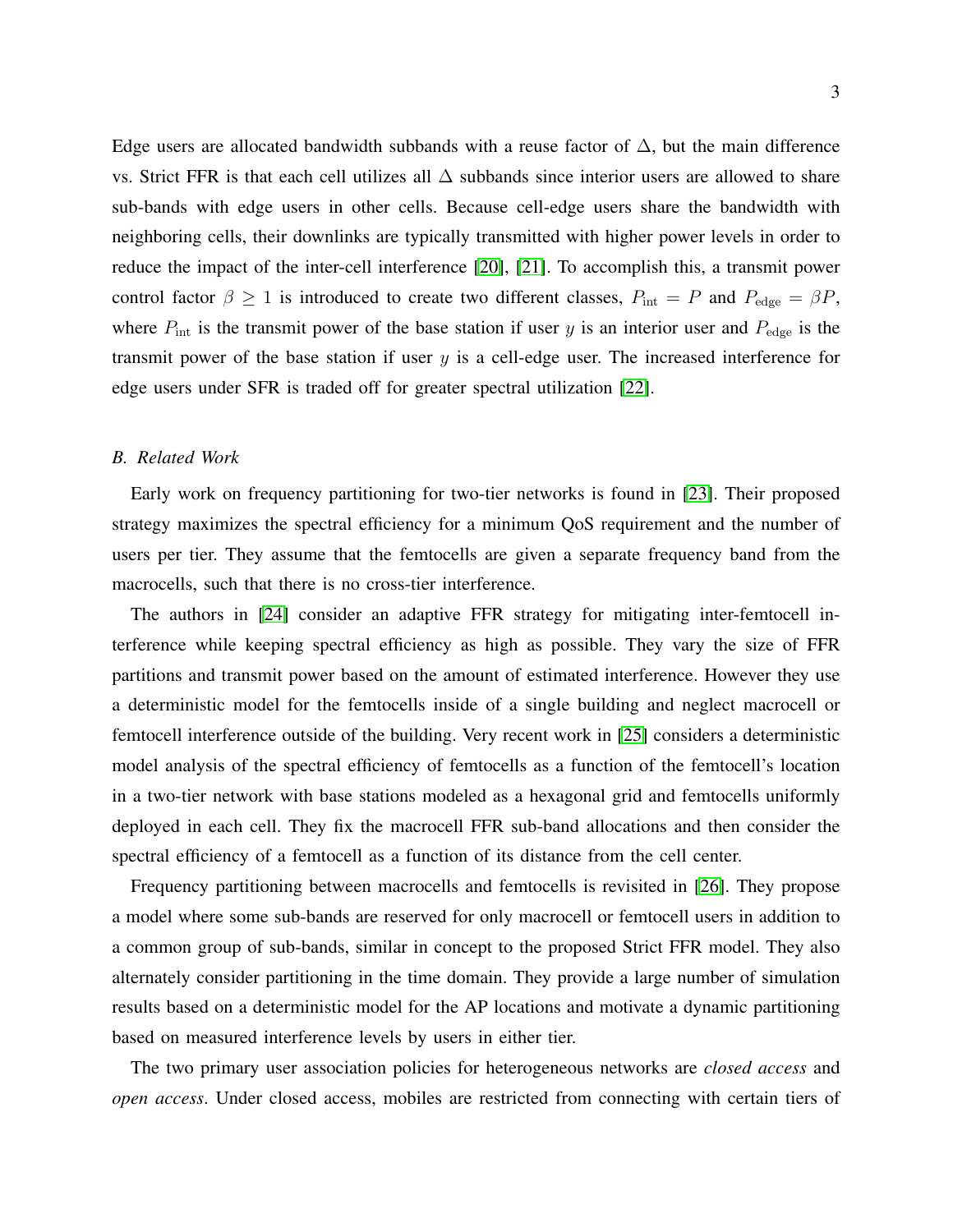Edge users are allocated bandwidth subbands with a reuse factor of  $\Delta$ , but the main difference vs. Strict FFR is that each cell utilizes all ∆ subbands since interior users are allowed to share sub-bands with edge users in other cells. Because cell-edge users share the bandwidth with neighboring cells, their downlinks are typically transmitted with higher power levels in order to reduce the impact of the inter-cell interference [\[20\]](#page-19-9), [\[21\]](#page-19-10). To accomplish this, a transmit power control factor  $\beta \ge 1$  is introduced to create two different classes,  $P_{\text{int}} = P$  and  $P_{\text{edge}} = \beta P$ , where  $P_{\text{int}}$  is the transmit power of the base station if user y is an interior user and  $P_{\text{edge}}$  is the transmit power of the base station if user  $y$  is a cell-edge user. The increased interference for edge users under SFR is traded off for greater spectral utilization [\[22\]](#page-19-11).

### *B. Related Work*

Early work on frequency partitioning for two-tier networks is found in [\[23\]](#page-19-12). Their proposed strategy maximizes the spectral efficiency for a minimum QoS requirement and the number of users per tier. They assume that the femtocells are given a separate frequency band from the macrocells, such that there is no cross-tier interference.

The authors in [\[24\]](#page-19-13) consider an adaptive FFR strategy for mitigating inter-femtocell interference while keeping spectral efficiency as high as possible. They vary the size of FFR partitions and transmit power based on the amount of estimated interference. However they use a deterministic model for the femtocells inside of a single building and neglect macrocell or femtocell interference outside of the building. Very recent work in [\[25\]](#page-19-14) considers a deterministic model analysis of the spectral efficiency of femtocells as a function of the femtocell's location in a two-tier network with base stations modeled as a hexagonal grid and femtocells uniformly deployed in each cell. They fix the macrocell FFR sub-band allocations and then consider the spectral efficiency of a femtocell as a function of its distance from the cell center.

Frequency partitioning between macrocells and femtocells is revisited in [\[26\]](#page-19-15). They propose a model where some sub-bands are reserved for only macrocell or femtocell users in addition to a common group of sub-bands, similar in concept to the proposed Strict FFR model. They also alternately consider partitioning in the time domain. They provide a large number of simulation results based on a deterministic model for the AP locations and motivate a dynamic partitioning based on measured interference levels by users in either tier.

The two primary user association policies for heterogeneous networks are *closed access* and *open access*. Under closed access, mobiles are restricted from connecting with certain tiers of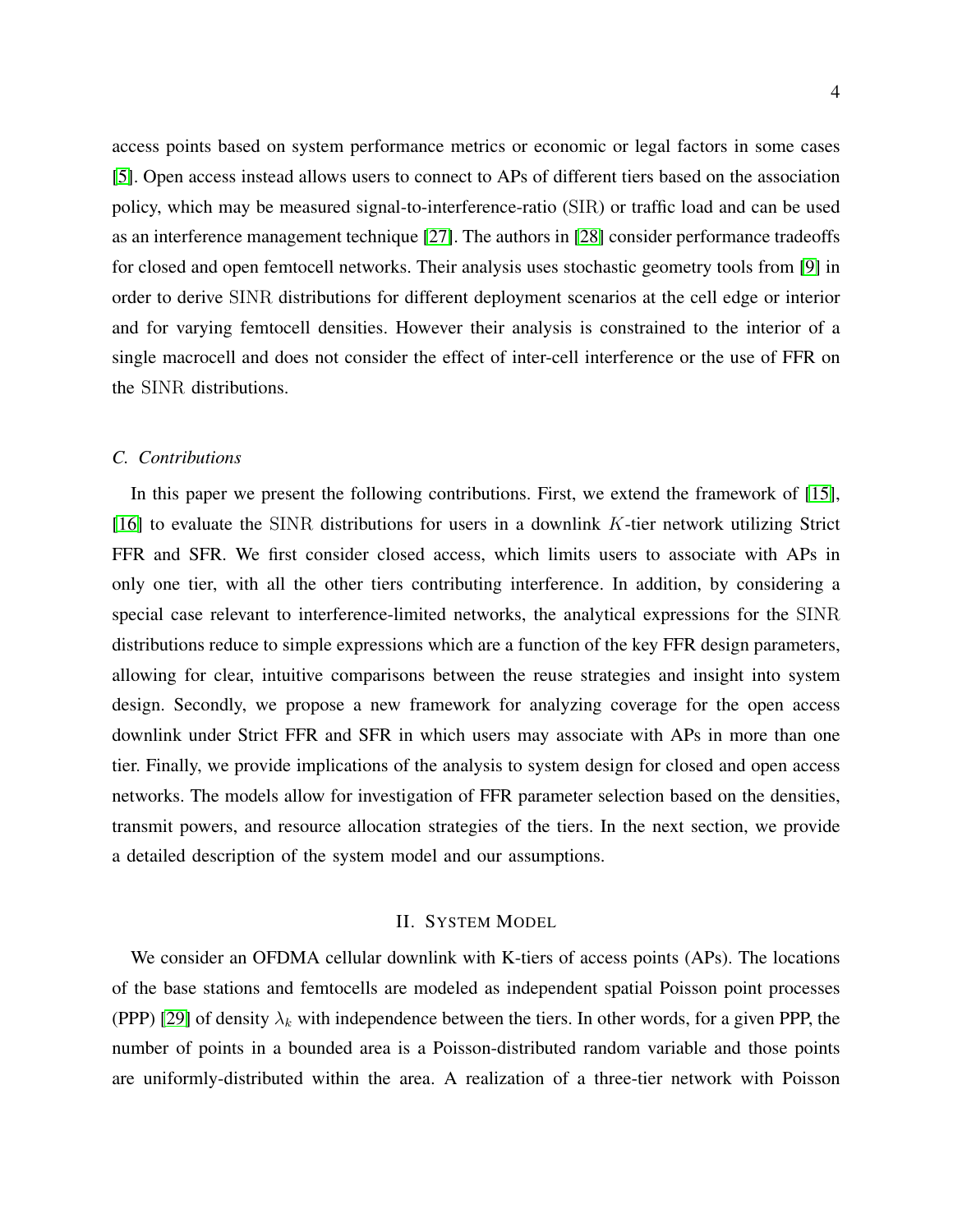access points based on system performance metrics or economic or legal factors in some cases [\[5\]](#page-18-4). Open access instead allows users to connect to APs of different tiers based on the association policy, which may be measured signal-to-interference-ratio (SIR) or traffic load and can be used as an interference management technique [\[27\]](#page-19-16). The authors in [\[28\]](#page-19-17) consider performance tradeoffs for closed and open femtocell networks. Their analysis uses stochastic geometry tools from [\[9\]](#page-18-8) in order to derive SINR distributions for different deployment scenarios at the cell edge or interior and for varying femtocell densities. However their analysis is constrained to the interior of a single macrocell and does not consider the effect of inter-cell interference or the use of FFR on the SINR distributions.

#### *C. Contributions*

In this paper we present the following contributions. First, we extend the framework of [\[15\]](#page-19-4), [\[16\]](#page-19-5) to evaluate the SINR distributions for users in a downlink  $K$ -tier network utilizing Strict FFR and SFR. We first consider closed access, which limits users to associate with APs in only one tier, with all the other tiers contributing interference. In addition, by considering a special case relevant to interference-limited networks, the analytical expressions for the SINR distributions reduce to simple expressions which are a function of the key FFR design parameters, allowing for clear, intuitive comparisons between the reuse strategies and insight into system design. Secondly, we propose a new framework for analyzing coverage for the open access downlink under Strict FFR and SFR in which users may associate with APs in more than one tier. Finally, we provide implications of the analysis to system design for closed and open access networks. The models allow for investigation of FFR parameter selection based on the densities, transmit powers, and resource allocation strategies of the tiers. In the next section, we provide a detailed description of the system model and our assumptions.

#### II. SYSTEM MODEL

We consider an OFDMA cellular downlink with K-tiers of access points (APs). The locations of the base stations and femtocells are modeled as independent spatial Poisson point processes (PPP) [\[29\]](#page-19-18) of density  $\lambda_k$  with independence between the tiers. In other words, for a given PPP, the number of points in a bounded area is a Poisson-distributed random variable and those points are uniformly-distributed within the area. A realization of a three-tier network with Poisson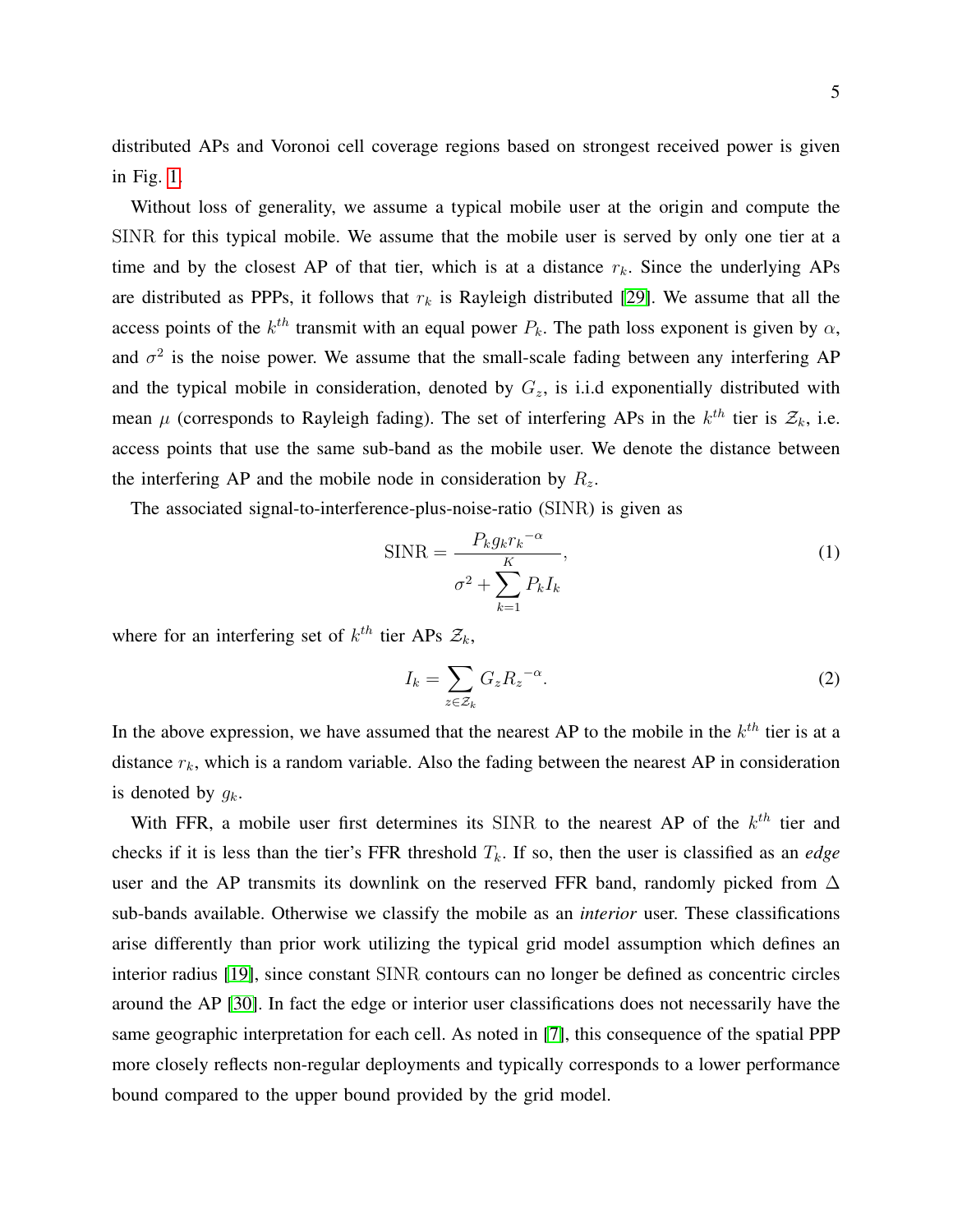Without loss of generality, we assume a typical mobile user at the origin and compute the SINR for this typical mobile. We assume that the mobile user is served by only one tier at a time and by the closest AP of that tier, which is at a distance  $r_k$ . Since the underlying APs are distributed as PPPs, it follows that  $r_k$  is Rayleigh distributed [\[29\]](#page-19-18). We assume that all the access points of the  $k^{th}$  transmit with an equal power  $P_k$ . The path loss exponent is given by  $\alpha$ , and  $\sigma^2$  is the noise power. We assume that the small-scale fading between any interfering AP and the typical mobile in consideration, denoted by  $G_z$ , is i.i.d exponentially distributed with mean  $\mu$  (corresponds to Rayleigh fading). The set of interfering APs in the  $k^{th}$  tier is  $\mathcal{Z}_k$ , i.e. access points that use the same sub-band as the mobile user. We denote the distance between the interfering AP and the mobile node in consideration by  $R_z$ .

The associated signal-to-interference-plus-noise-ratio (SINR) is given as

$$
SINR = \frac{P_k g_k r_k^{-\alpha}}{\sigma^2 + \sum_{k=1}^{K} P_k I_k},
$$
\n(1)

where for an interfering set of  $k^{th}$  tier APs  $\mathcal{Z}_k$ ,

$$
I_k = \sum_{z \in \mathcal{Z}_k} G_z R_z^{-\alpha}.
$$
 (2)

In the above expression, we have assumed that the nearest AP to the mobile in the  $k<sup>th</sup>$  tier is at a distance  $r_k$ , which is a random variable. Also the fading between the nearest AP in consideration is denoted by  $g_k$ .

With FFR, a mobile user first determines its SINR to the nearest AP of the  $k^{th}$  tier and checks if it is less than the tier's FFR threshold  $T_k$ . If so, then the user is classified as an *edge* user and the AP transmits its downlink on the reserved FFR band, randomly picked from  $\Delta$ sub-bands available. Otherwise we classify the mobile as an *interior* user. These classifications arise differently than prior work utilizing the typical grid model assumption which defines an interior radius [\[19\]](#page-19-8), since constant SINR contours can no longer be defined as concentric circles around the AP [\[30\]](#page-19-19). In fact the edge or interior user classifications does not necessarily have the same geographic interpretation for each cell. As noted in [\[7\]](#page-18-6), this consequence of the spatial PPP more closely reflects non-regular deployments and typically corresponds to a lower performance bound compared to the upper bound provided by the grid model.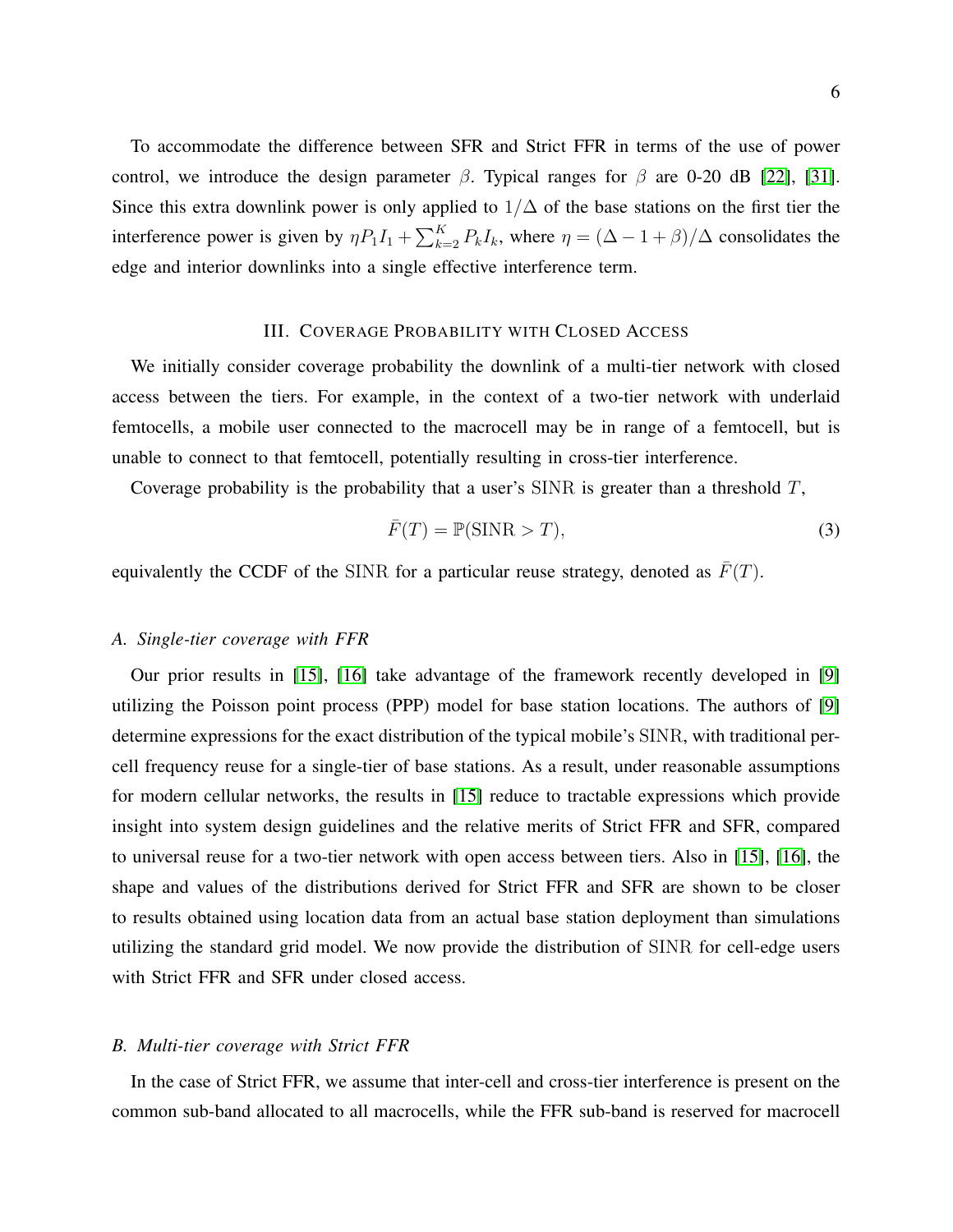To accommodate the difference between SFR and Strict FFR in terms of the use of power control, we introduce the design parameter  $\beta$ . Typical ranges for  $\beta$  are 0-20 dB [\[22\]](#page-19-11), [\[31\]](#page-19-20). Since this extra downlink power is only applied to  $1/\Delta$  of the base stations on the first tier the interference power is given by  $\eta P_1 I_1 + \sum_{k=2}^{K} P_k I_k$ , where  $\eta = (\Delta - 1 + \beta)/\Delta$  consolidates the edge and interior downlinks into a single effective interference term.

### III. COVERAGE PROBABILITY WITH CLOSED ACCESS

<span id="page-5-0"></span>We initially consider coverage probability the downlink of a multi-tier network with closed access between the tiers. For example, in the context of a two-tier network with underlaid femtocells, a mobile user connected to the macrocell may be in range of a femtocell, but is unable to connect to that femtocell, potentially resulting in cross-tier interference.

Coverage probability is the probability that a user's SINR is greater than a threshold  $T$ ,

$$
\bar{F}(T) = \mathbb{P}(\text{SINR} > T),\tag{3}
$$

equivalently the CCDF of the SINR for a particular reuse strategy, denoted as  $\bar{F}(T)$ .

#### *A. Single-tier coverage with FFR*

Our prior results in [\[15\]](#page-19-4), [\[16\]](#page-19-5) take advantage of the framework recently developed in [\[9\]](#page-18-8) utilizing the Poisson point process (PPP) model for base station locations. The authors of [\[9\]](#page-18-8) determine expressions for the exact distribution of the typical mobile's SINR, with traditional percell frequency reuse for a single-tier of base stations. As a result, under reasonable assumptions for modern cellular networks, the results in [\[15\]](#page-19-4) reduce to tractable expressions which provide insight into system design guidelines and the relative merits of Strict FFR and SFR, compared to universal reuse for a two-tier network with open access between tiers. Also in [\[15\]](#page-19-4), [\[16\]](#page-19-5), the shape and values of the distributions derived for Strict FFR and SFR are shown to be closer to results obtained using location data from an actual base station deployment than simulations utilizing the standard grid model. We now provide the distribution of SINR for cell-edge users with Strict FFR and SFR under closed access.

## *B. Multi-tier coverage with Strict FFR*

In the case of Strict FFR, we assume that inter-cell and cross-tier interference is present on the common sub-band allocated to all macrocells, while the FFR sub-band is reserved for macrocell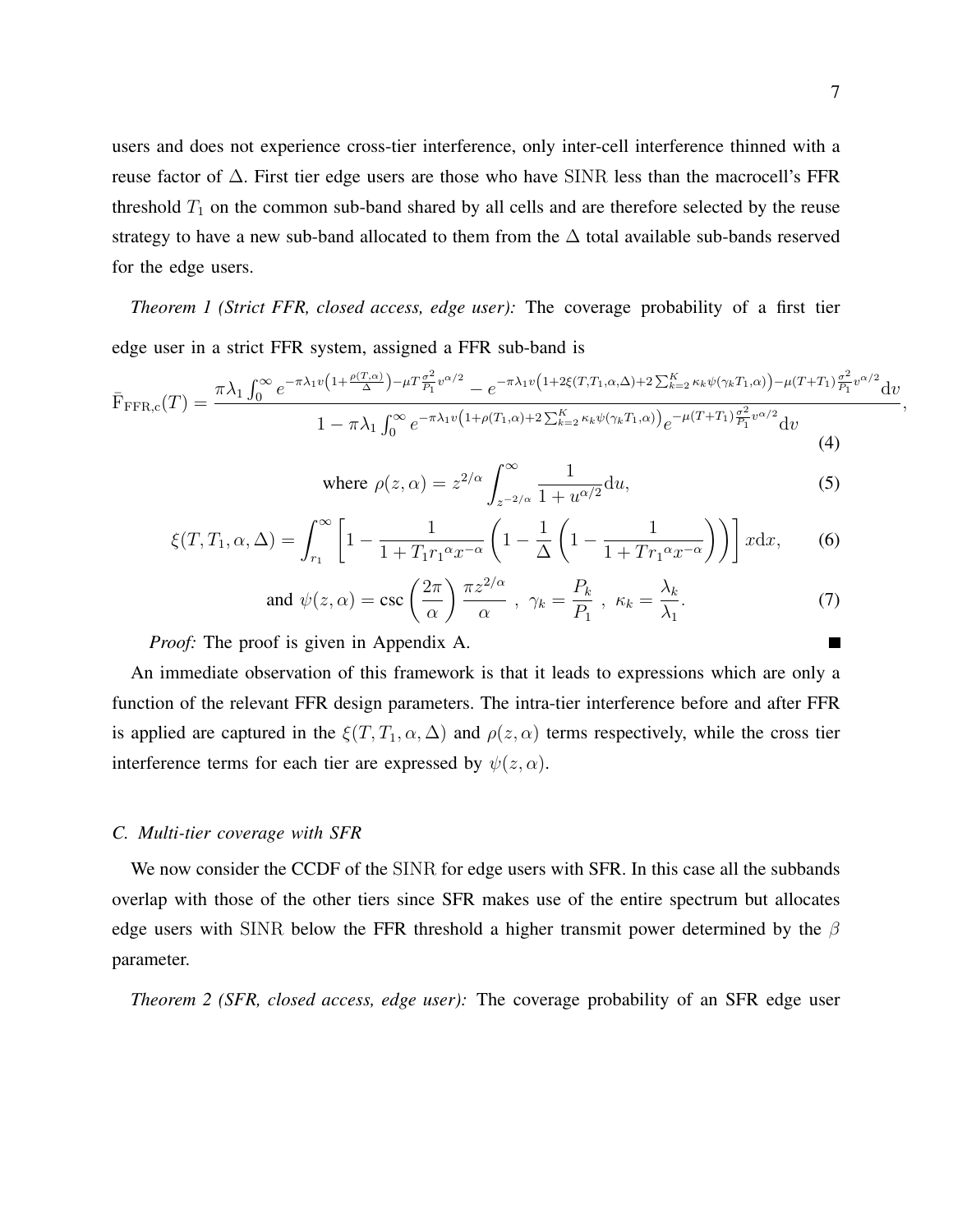users and does not experience cross-tier interference, only inter-cell interference thinned with a reuse factor of  $\Delta$ . First tier edge users are those who have SINR less than the macrocell's FFR threshold  $T_1$  on the common sub-band shared by all cells and are therefore selected by the reuse strategy to have a new sub-band allocated to them from the  $\Delta$  total available sub-bands reserved for the edge users.

<span id="page-6-3"></span>*Theorem 1 (Strict FFR, closed access, edge user):* The coverage probability of a first tier edge user in a strict FFR system, assigned a FFR sub-band is

<span id="page-6-2"></span>
$$
\bar{F}_{\text{FFR},c}(T) = \frac{\pi \lambda_1 \int_0^\infty e^{-\pi \lambda_1 v \left(1 + \frac{\rho(T,\alpha)}{\Delta}\right) - \mu T \frac{\sigma^2}{P_1} v^{\alpha/2} - e^{-\pi \lambda_1 v \left(1 + 2\xi(T,T_1,\alpha,\Delta) + 2 \sum_{k=2}^K \kappa_k \psi(\gamma_k T_1,\alpha)\right) - \mu(T+T_1) \frac{\sigma^2}{P_1} v^{\alpha/2}} dv}}{1 - \pi \lambda_1 \int_0^\infty e^{-\pi \lambda_1 v \left(1 + \rho(T_1,\alpha) + 2 \sum_{k=2}^K \kappa_k \psi(\gamma_k T_1,\alpha)\right)} e^{-\mu(T+T_1) \frac{\sigma^2}{P_1} v^{\alpha/2}} dv}}{(4)}
$$

<span id="page-6-0"></span>where 
$$
\rho(z,\alpha) = z^{2/\alpha} \int_{z^{-2/\alpha}}^{\infty} \frac{1}{1 + u^{\alpha/2}} du,
$$
 (5)

$$
\xi(T, T_1, \alpha, \Delta) = \int_{r_1}^{\infty} \left[ 1 - \frac{1}{1 + T_1 r_1^{\alpha} x^{-\alpha}} \left( 1 - \frac{1}{\Delta} \left( 1 - \frac{1}{1 + T r_1^{\alpha} x^{-\alpha}} \right) \right) \right] x \, dx,\tag{6}
$$

<span id="page-6-1"></span>and 
$$
\psi(z,\alpha) = \csc\left(\frac{2\pi}{\alpha}\right) \frac{\pi z^{2/\alpha}}{\alpha}, \ \gamma_k = \frac{P_k}{P_1}, \ \kappa_k = \frac{\lambda_k}{\lambda_1}.
$$
 (7)

*Proof:* The proof is given in Appendix A.

An immediate observation of this framework is that it leads to expressions which are only a function of the relevant FFR design parameters. The intra-tier interference before and after FFR is applied are captured in the  $\xi(T, T_1, \alpha, \Delta)$  and  $\rho(z, \alpha)$  terms respectively, while the cross tier interference terms for each tier are expressed by  $\psi(z,\alpha)$ .

#### *C. Multi-tier coverage with SFR*

We now consider the CCDF of the SINR for edge users with SFR. In this case all the subbands overlap with those of the other tiers since SFR makes use of the entire spectrum but allocates edge users with SINR below the FFR threshold a higher transmit power determined by the  $\beta$ parameter.

*Theorem 2 (SFR, closed access, edge user):* The coverage probability of an SFR edge user

г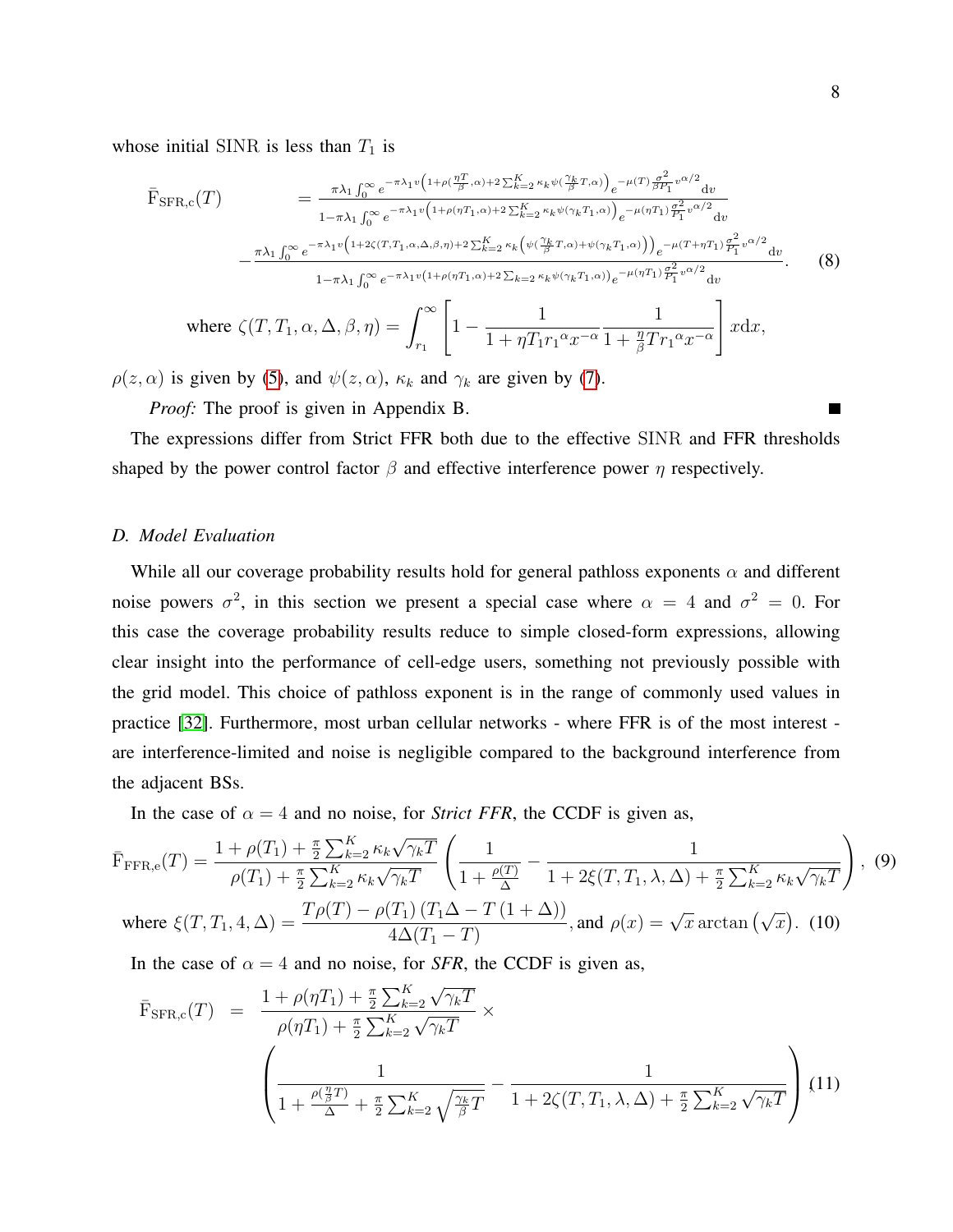whose initial SINR is less than  $T_1$  is

<span id="page-7-0"></span>
$$
\bar{F}_{\text{SFR},c}(T) = \frac{\pi \lambda_1 \int_0^{\infty} e^{-\pi \lambda_1 v \left(1 + \rho \left(\frac{\eta T}{\beta}, \alpha\right) + 2 \sum_{k=2}^K \kappa_k \psi \left(\frac{\gamma_k}{\beta} T, \alpha\right)\right)} e^{-\mu (T) \frac{\sigma^2}{\beta P_1} v^{\alpha/2} dv}}{1 - \pi \lambda_1 \int_0^{\infty} e^{-\pi \lambda_1 v \left(1 + \rho \left(\eta T_1, \alpha\right) + 2 \sum_{k=2}^K \kappa_k \psi \left(\gamma_k T_1, \alpha\right)\right)} e^{-\mu \left(\eta T_1\right) \frac{\sigma^2}{P_1} v^{\alpha/2} dv}} - \frac{\pi \lambda_1 \int_0^{\infty} e^{-\pi \lambda_1 v \left(1 + 2 \zeta \left(T, T_1, \alpha, \Delta, \beta, \eta\right) + 2 \sum_{k=2}^K \kappa_k \psi \left(\gamma_k T_1, \alpha\right)\right)} e^{-\mu \left(\eta T_1\right) \frac{\sigma^2}{P_1} v^{\alpha/2} dv}}{1 - \pi \lambda_1 \int_0^{\infty} e^{-\pi \lambda_1 v \left(1 + \rho \left(\eta T_1, \alpha\right) + 2 \sum_{k=2}^K \kappa_k \psi \left(\gamma_k T_1, \alpha\right)\right)} e^{-\mu \left(\eta T_1\right) \frac{\sigma^2}{P_1} v^{\alpha/2} dv}}.
$$
\nwhere

\n
$$
\zeta(T, T_1, \alpha, \Delta, \beta, \eta) = \int_{r_1}^{\infty} \left[1 - \frac{1}{1 + \eta T_1 r_1^{\alpha} x^{-\alpha}} \frac{1}{1 + \frac{\eta}{\beta} T r_1^{\alpha} x^{-\alpha}}\right] x dx,
$$
\n(8)

 $\rho(z,\alpha)$  is given by [\(5\)](#page-6-0), and  $\psi(z,\alpha)$ ,  $\kappa_k$  and  $\gamma_k$  are given by [\(7\)](#page-6-1).

*Proof:* The proof is given in Appendix B.

The expressions differ from Strict FFR both due to the effective SINR and FFR thresholds shaped by the power control factor  $\beta$  and effective interference power  $\eta$  respectively.

# *D. Model Evaluation*

While all our coverage probability results hold for general pathloss exponents  $\alpha$  and different noise powers  $\sigma^2$ , in this section we present a special case where  $\alpha = 4$  and  $\sigma^2 = 0$ . For this case the coverage probability results reduce to simple closed-form expressions, allowing clear insight into the performance of cell-edge users, something not previously possible with the grid model. This choice of pathloss exponent is in the range of commonly used values in practice [\[32\]](#page-19-21). Furthermore, most urban cellular networks - where FFR is of the most interest are interference-limited and noise is negligible compared to the background interference from the adjacent BSs.

In the case of  $\alpha = 4$  and no noise, for *Strict FFR*, the CCDF is given as,

$$
\bar{F}_{\text{FFR,e}}(T) = \frac{1 + \rho(T_1) + \frac{\pi}{2} \sum_{k=2}^{K} \kappa_k \sqrt{\gamma_k T}}{\rho(T_1) + \frac{\pi}{2} \sum_{k=2}^{K} \kappa_k \sqrt{\gamma_k T}} \left( \frac{1}{1 + \frac{\rho(T)}{\Delta}} - \frac{1}{1 + 2\xi(T, T_1, \lambda, \Delta) + \frac{\pi}{2} \sum_{k=2}^{K} \kappa_k \sqrt{\gamma_k T}} \right), (9)
$$

where 
$$
\xi(T, T_1, 4, \Delta) = \frac{T\rho(T) - \rho(T_1)(T_1\Delta - T(1 + \Delta))}{4\Delta(T_1 - T)}
$$
, and  $\rho(x) = \sqrt{x}$  arctan  $(\sqrt{x})$ . (10)

In the case of  $\alpha = 4$  and no noise, for *SFR*, the CCDF is given as,

$$
\bar{F}_{\text{SFR},c}(T) = \frac{1 + \rho(\eta T_1) + \frac{\pi}{2} \sum_{k=2}^{K} \sqrt{\gamma_k T}}{\rho(\eta T_1) + \frac{\pi}{2} \sum_{k=2}^{K} \sqrt{\gamma_k T}} \times \left( \frac{1}{1 + \frac{\rho(\frac{\eta}{\beta}T)}{\Delta} + \frac{\pi}{2} \sum_{k=2}^{K} \sqrt{\frac{\gamma_k}{\beta}T}} - \frac{1}{1 + 2\zeta(T, T_1, \lambda, \Delta) + \frac{\pi}{2} \sum_{k=2}^{K} \sqrt{\gamma_k T}} \right) (11)
$$

 $\blacksquare$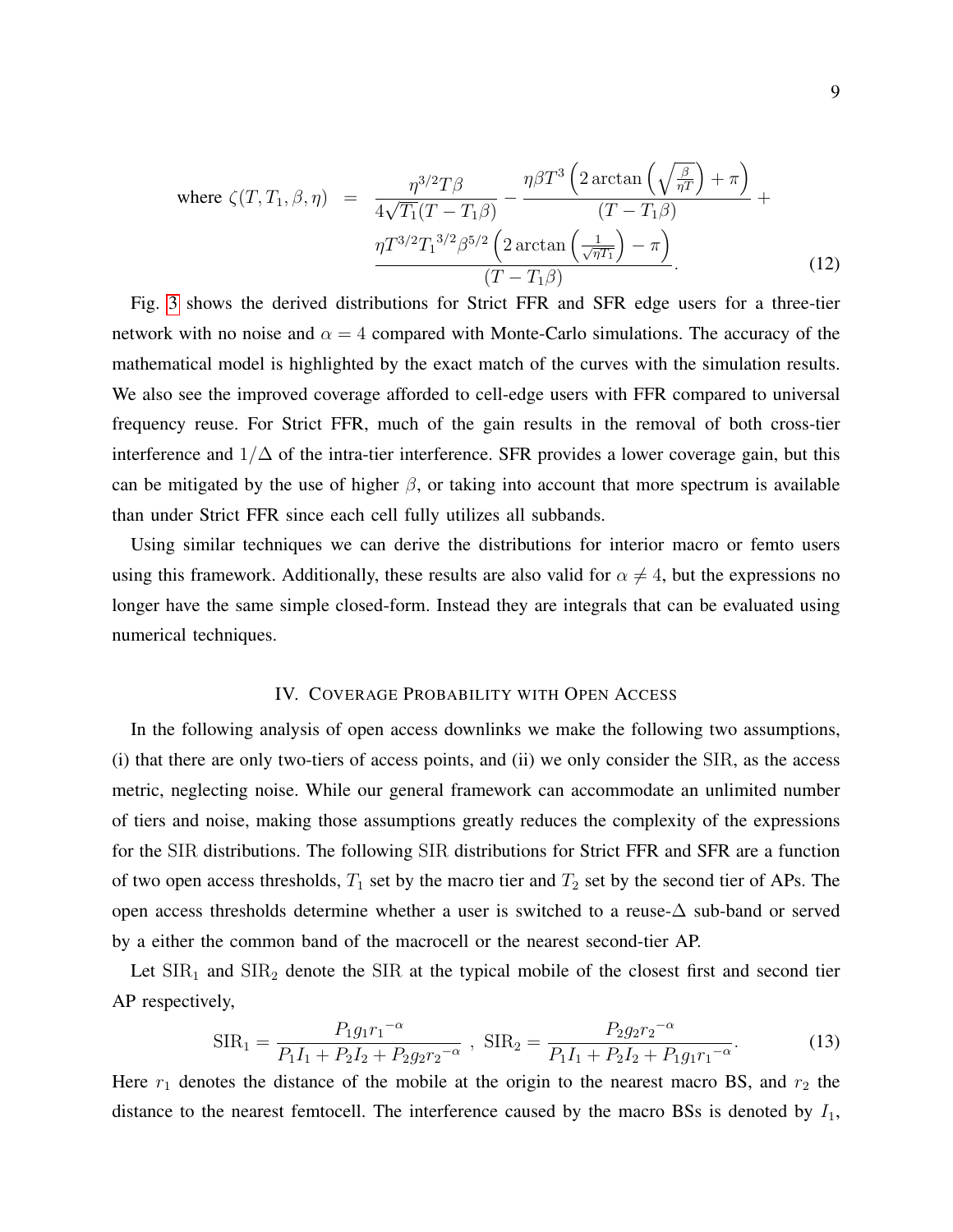where 
$$
\zeta(T, T_1, \beta, \eta) = \frac{\eta^{3/2}T\beta}{4\sqrt{T_1}(T - T_1\beta)} - \frac{\eta\beta T^3 \left(2 \arctan\left(\sqrt{\frac{\beta}{\eta T}}\right) + \pi\right)}{(T - T_1\beta)} + \frac{\eta T^{3/2}T_1^{3/2}\beta^{5/2} \left(2 \arctan\left(\frac{1}{\sqrt{\eta T_1}}\right) - \pi\right)}{(T - T_1\beta)}.
$$
 (12)

Fig. [3](#page-21-0) shows the derived distributions for Strict FFR and SFR edge users for a three-tier network with no noise and  $\alpha = 4$  compared with Monte-Carlo simulations. The accuracy of the mathematical model is highlighted by the exact match of the curves with the simulation results. We also see the improved coverage afforded to cell-edge users with FFR compared to universal frequency reuse. For Strict FFR, much of the gain results in the removal of both cross-tier interference and  $1/\Delta$  of the intra-tier interference. SFR provides a lower coverage gain, but this can be mitigated by the use of higher  $\beta$ , or taking into account that more spectrum is available than under Strict FFR since each cell fully utilizes all subbands.

Using similar techniques we can derive the distributions for interior macro or femto users using this framework. Additionally, these results are also valid for  $\alpha \neq 4$ , but the expressions no longer have the same simple closed-form. Instead they are integrals that can be evaluated using numerical techniques.

### IV. COVERAGE PROBABILITY WITH OPEN ACCESS

<span id="page-8-0"></span>In the following analysis of open access downlinks we make the following two assumptions, (i) that there are only two-tiers of access points, and (ii) we only consider the SIR, as the access metric, neglecting noise. While our general framework can accommodate an unlimited number of tiers and noise, making those assumptions greatly reduces the complexity of the expressions for the SIR distributions. The following SIR distributions for Strict FFR and SFR are a function of two open access thresholds,  $T_1$  set by the macro tier and  $T_2$  set by the second tier of APs. The open access thresholds determine whether a user is switched to a reuse-∆ sub-band or served by a either the common band of the macrocell or the nearest second-tier AP.

Let  $\text{SIR}_1$  and  $\text{SIR}_2$  denote the SIR at the typical mobile of the closest first and second tier AP respectively,

$$
SIR_1 = \frac{P_1 g_1 r_1^{-\alpha}}{P_1 I_1 + P_2 I_2 + P_2 g_2 r_2^{-\alpha}} , \quad SIR_2 = \frac{P_2 g_2 r_2^{-\alpha}}{P_1 I_1 + P_2 I_2 + P_1 g_1 r_1^{-\alpha}}.
$$
 (13)

Here  $r_1$  denotes the distance of the mobile at the origin to the nearest macro BS, and  $r_2$  the distance to the nearest femtocell. The interference caused by the macro BSs is denoted by  $I_1$ ,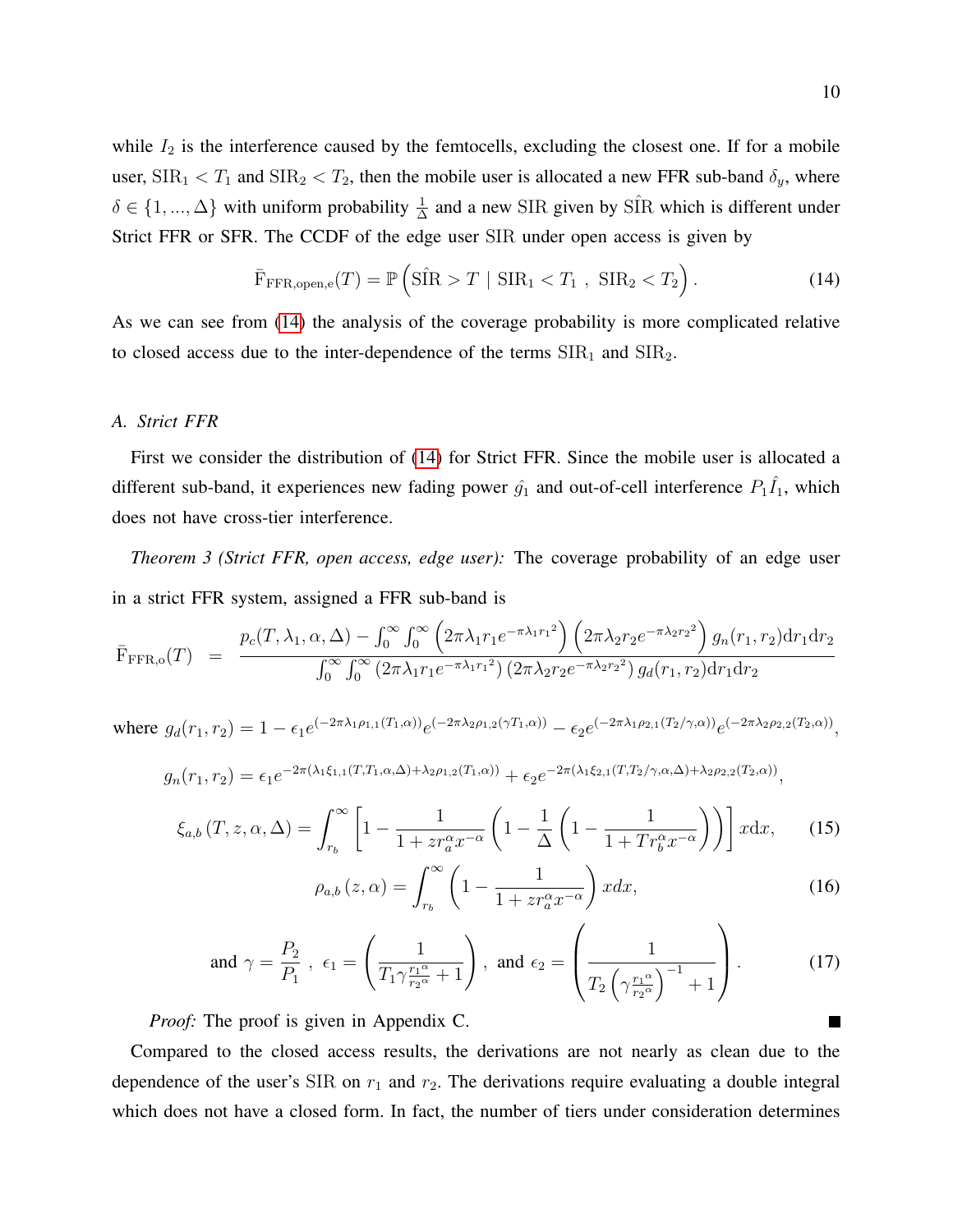while  $I_2$  is the interference caused by the femtocells, excluding the closest one. If for a mobile user,  $\text{SIR}_1 < T_1$  and  $\text{SIR}_2 < T_2$ , then the mobile user is allocated a new FFR sub-band  $\delta_y$ , where  $\delta \in \{1, ..., \Delta\}$  with uniform probability  $\frac{1}{\Delta}$  and a new SIR given by SIR which is different under Strict FFR or SFR. The CCDF of the edge user SIR under open access is given by

<span id="page-9-0"></span>
$$
\bar{\mathrm{F}}_{\mathrm{FFR, open,e}}(T) = \mathbb{P}\left(\hat{\mathrm{SIR}} > T \mid \mathrm{SIR}_1 < T_1 \; , \; \mathrm{SIR}_2 < T_2\right). \tag{14}
$$

As we can see from [\(14\)](#page-9-0) the analysis of the coverage probability is more complicated relative to closed access due to the inter-dependence of the terms  $\text{SIR}_1$  and  $\text{SIR}_2$ .

## *A. Strict FFR*

First we consider the distribution of [\(14\)](#page-9-0) for Strict FFR. Since the mobile user is allocated a different sub-band, it experiences new fading power  $\hat{g}_1$  and out-of-cell interference  $P_1\hat{I}_1$ , which does not have cross-tier interference.

<span id="page-9-3"></span>*Theorem 3 (Strict FFR, open access, edge user):* The coverage probability of an edge user in a strict FFR system, assigned a FFR sub-band is

<span id="page-9-2"></span>
$$
\bar{F}_{\text{FFR},o}(T) = \frac{p_c(T, \lambda_1, \alpha, \Delta) - \int_0^{\infty} \int_0^{\infty} \left(2\pi \lambda_1 r_1 e^{-\pi \lambda_1 r_1^2}\right) \left(2\pi \lambda_2 r_2 e^{-\pi \lambda_2 r_2^2}\right) g_n(r_1, r_2) dr_1 dr_2}{\int_0^{\infty} \int_0^{\infty} \left(2\pi \lambda_1 r_1 e^{-\pi \lambda_1 r_1^2}\right) \left(2\pi \lambda_2 r_2 e^{-\pi \lambda_2 r_2^2}\right) g_d(r_1, r_2) dr_1 dr_2}
$$

where  $g_d(r_1, r_2) = 1 - \epsilon_1 e^{(-2\pi\lambda_1 \rho_{1,1}(T_1, \alpha))} e^{(-2\pi\lambda_2 \rho_{1,2}(\gamma T_1, \alpha))} - \epsilon_2 e^{(-2\pi\lambda_1 \rho_{2,1}(T_2/\gamma, \alpha))} e^{(-2\pi\lambda_2 \rho_{2,2}(T_2, \alpha))}$ 

$$
g_n(r_1,r_2) = \epsilon_1 e^{-2\pi(\lambda_1\xi_{1,1}(T,T_1,\alpha,\Delta)+\lambda_2\rho_{1,2}(T_1,\alpha))} + \epsilon_2 e^{-2\pi(\lambda_1\xi_{2,1}(T,T_2/\gamma,\alpha,\Delta)+\lambda_2\rho_{2,2}(T_2,\alpha))},
$$

$$
\xi_{a,b}(T,z,\alpha,\Delta) = \int_{r_b}^{\infty} \left[1 - \frac{1}{1 + z r_a^{\alpha} x^{-\alpha}} \left(1 - \frac{1}{\Delta} \left(1 - \frac{1}{1 + T r_b^{\alpha} x^{-\alpha}}\right)\right)\right] x \mathrm{d}x, \qquad (15)
$$

<span id="page-9-1"></span>
$$
\rho_{a,b}\left(z,\alpha\right) = \int_{r_b}^{\infty} \left(1 - \frac{1}{1 + z r_a^{\alpha} x^{-\alpha}}\right) x dx,\tag{16}
$$

and 
$$
\gamma = \frac{P_2}{P_1}
$$
,  $\epsilon_1 = \left(\frac{1}{T_1 \gamma \frac{r_1 \alpha}{r_2 \alpha} + 1}\right)$ , and  $\epsilon_2 = \left(\frac{1}{T_2 \left(\gamma \frac{r_1 \alpha}{r_2 \alpha}\right)^{-1} + 1}\right)$ . (17)

*Proof:* The proof is given in Appendix C.

Compared to the closed access results, the derivations are not nearly as clean due to the dependence of the user's SIR on  $r_1$  and  $r_2$ . The derivations require evaluating a double integral which does not have a closed form. In fact, the number of tiers under consideration determines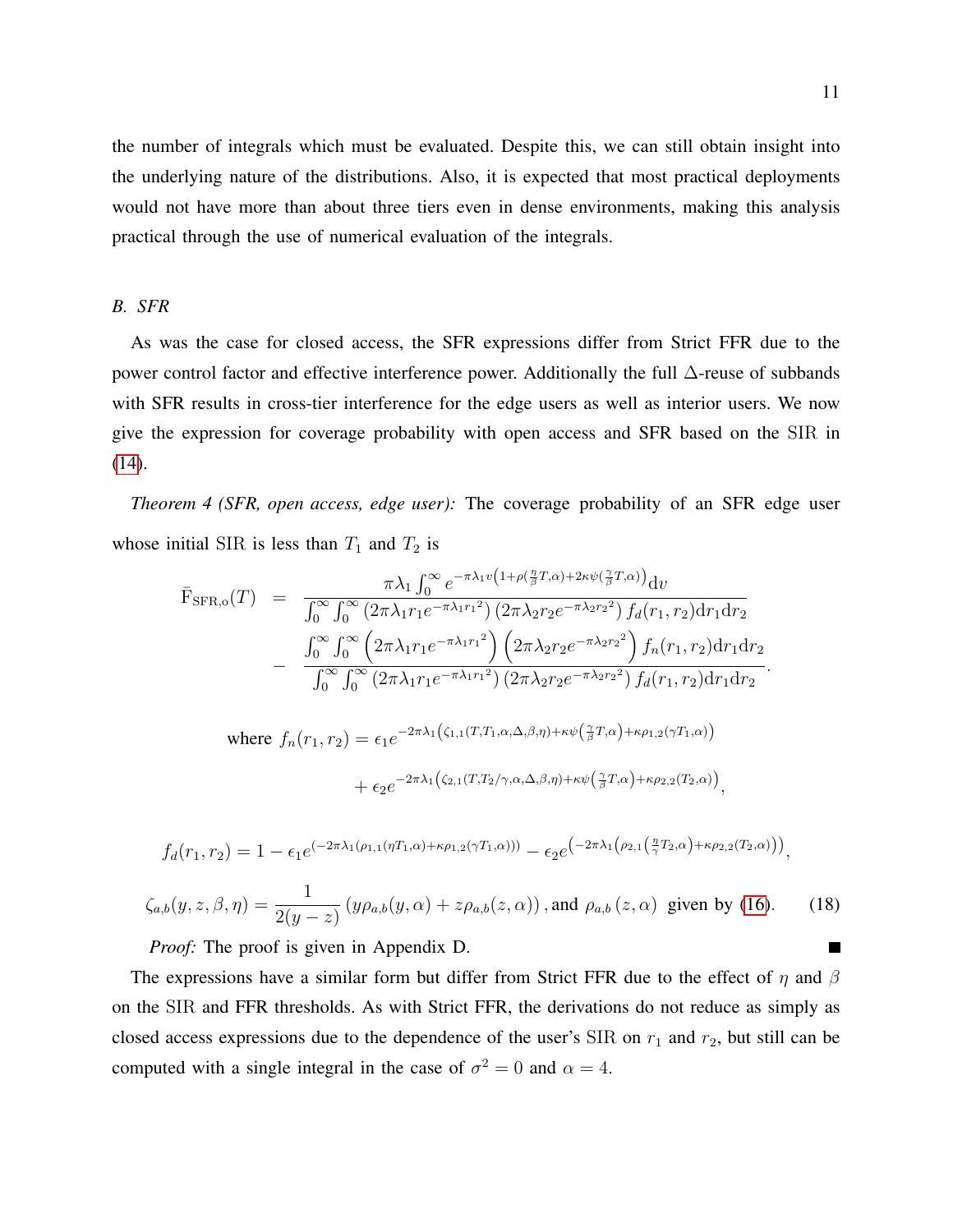the number of integrals which must be evaluated. Despite this, we can still obtain insight into the underlying nature of the distributions. Also, it is expected that most practical deployments would not have more than about three tiers even in dense environments, making this analysis practical through the use of numerical evaluation of the integrals.

# *B. SFR*

As was the case for closed access, the SFR expressions differ from Strict FFR due to the power control factor and effective interference power. Additionally the full ∆-reuse of subbands with SFR results in cross-tier interference for the edge users as well as interior users. We now give the expression for coverage probability with open access and SFR based on the SIR in [\(14\)](#page-9-0).

*Theorem 4 (SFR, open access, edge user):* The coverage probability of an SFR edge user whose initial SIR is less than  $T_1$  and  $T_2$  is

<span id="page-10-0"></span>
$$
\bar{F}_{\text{SFR},0}(T) = \frac{\pi \lambda_1 \int_0^\infty e^{-\pi \lambda_1 v \left(1 + \rho \left(\frac{\eta}{\beta} T, \alpha\right) + 2\kappa \psi \left(\frac{\gamma}{\beta} T, \alpha\right)\right)} dv}{\int_0^\infty \int_0^\infty \left(2\pi \lambda_1 r_1 e^{-\pi \lambda_1 r_1^2}\right) \left(2\pi \lambda_2 r_2 e^{-\pi \lambda_2 r_2^2}\right) f_d(r_1, r_2) dr_1 dr_2}
$$
\n
$$
-\frac{\int_0^\infty \int_0^\infty \left(2\pi \lambda_1 r_1 e^{-\pi \lambda_1 r_1^2}\right) \left(2\pi \lambda_2 r_2 e^{-\pi \lambda_2 r_2^2}\right) f_n(r_1, r_2) dr_1 dr_2}{\int_0^\infty \int_0^\infty \left(2\pi \lambda_1 r_1 e^{-\pi \lambda_1 r_1^2}\right) \left(2\pi \lambda_2 r_2 e^{-\pi \lambda_2 r_2^2}\right) f_d(r_1, r_2) dr_1 dr_2}.
$$

where 
$$
f_n(r_1, r_2) = \epsilon_1 e^{-2\pi\lambda_1(\zeta_{1,1}(T, T_1, \alpha, \Delta, \beta, \eta) + \kappa \psi(\frac{\gamma}{\beta}T, \alpha) + \kappa \rho_{1,2}(\gamma T_1, \alpha))}
$$
  
  $+ \epsilon_2 e^{-2\pi\lambda_1(\zeta_{2,1}(T, T_2/\gamma, \alpha, \Delta, \beta, \eta) + \kappa \psi(\frac{\gamma}{\beta}T, \alpha) + \kappa \rho_{2,2}(T_2, \alpha))},$ 

$$
f_d(r_1,r_2) = 1 - \epsilon_1 e^{(-2\pi\lambda_1(\rho_{1,1}(\eta T_1,\alpha) + \kappa \rho_{1,2}(\gamma T_1,\alpha)))} - \epsilon_2 e^{(-2\pi\lambda_1(\rho_{2,1}(\frac{\eta}{\gamma}T_2,\alpha) + \kappa \rho_{2,2}(T_2,\alpha)))},
$$

$$
\zeta_{a,b}(y,z,\beta,\eta) = \frac{1}{2(y-z)} \left( y\rho_{a,b}(y,\alpha) + z\rho_{a,b}(z,\alpha) \right), \text{and } \rho_{a,b}(z,\alpha) \text{ given by (16).} \tag{18}
$$

*Proof:* The proof is given in Appendix D.

The expressions have a similar form but differ from Strict FFR due to the effect of  $\eta$  and  $\beta$ on the SIR and FFR thresholds. As with Strict FFR, the derivations do not reduce as simply as closed access expressions due to the dependence of the user's SIR on  $r_1$  and  $r_2$ , but still can be computed with a single integral in the case of  $\sigma^2 = 0$  and  $\alpha = 4$ .

Г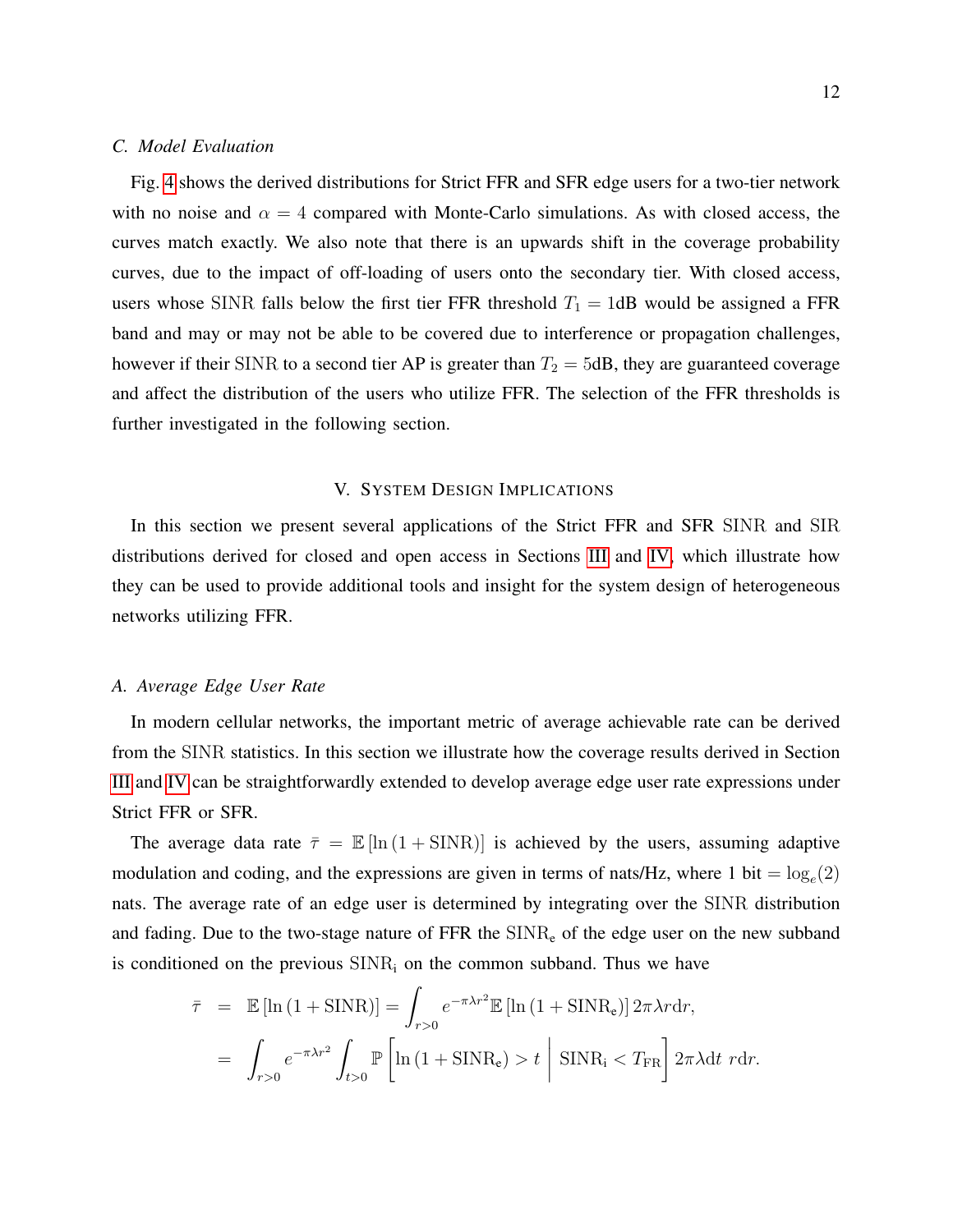# *C. Model Evaluation*

Fig. [4](#page-21-1) shows the derived distributions for Strict FFR and SFR edge users for a two-tier network with no noise and  $\alpha = 4$  compared with Monte-Carlo simulations. As with closed access, the curves match exactly. We also note that there is an upwards shift in the coverage probability curves, due to the impact of off-loading of users onto the secondary tier. With closed access, users whose SINR falls below the first tier FFR threshold  $T_1 = 1$ dB would be assigned a FFR band and may or may not be able to be covered due to interference or propagation challenges, however if their SINR to a second tier AP is greater than  $T_2 = 5dB$ , they are guaranteed coverage and affect the distribution of the users who utilize FFR. The selection of the FFR thresholds is further investigated in the following section.

# V. SYSTEM DESIGN IMPLICATIONS

In this section we present several applications of the Strict FFR and SFR SINR and SIR distributions derived for closed and open access in Sections [III](#page-5-0) and [IV,](#page-8-0) which illustrate how they can be used to provide additional tools and insight for the system design of heterogeneous networks utilizing FFR.

## *A. Average Edge User Rate*

In modern cellular networks, the important metric of average achievable rate can be derived from the SINR statistics. In this section we illustrate how the coverage results derived in Section [III](#page-5-0) and [IV](#page-8-0) can be straightforwardly extended to develop average edge user rate expressions under Strict FFR or SFR.

The average data rate  $\bar{\tau} = \mathbb{E} [\ln (1 + \text{SINR})]$  is achieved by the users, assuming adaptive modulation and coding, and the expressions are given in terms of nats/Hz, where 1 bit =  $log_e(2)$ nats. The average rate of an edge user is determined by integrating over the SINR distribution and fading. Due to the two-stage nature of  $FFR$  the  $SINR<sub>e</sub>$  of the edge user on the new subband is conditioned on the previous  $SINR<sub>i</sub>$  on the common subband. Thus we have

$$
\bar{\tau} = \mathbb{E} [\ln (1 + \text{SINR})] = \int_{r>0} e^{-\pi \lambda r^2} \mathbb{E} [\ln (1 + \text{SINR}_{e})] 2\pi \lambda r dr,
$$
  
= 
$$
\int_{r>0} e^{-\pi \lambda r^2} \int_{t>0} \mathbb{P} \left[ \ln (1 + \text{SINR}_{e}) > t \mid \text{SINR}_{i} < T_{FR} \right] 2\pi \lambda dt \, r dr.
$$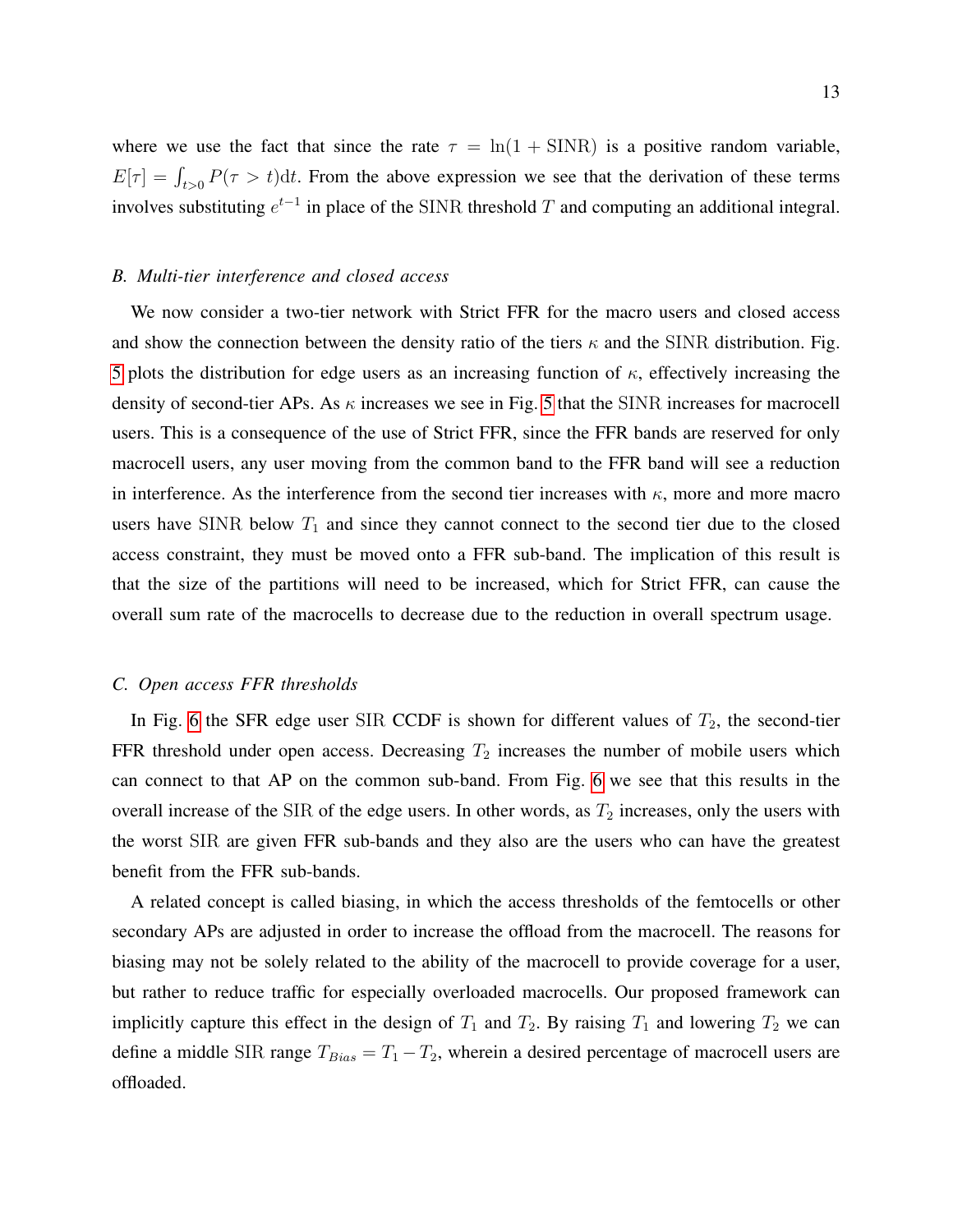where we use the fact that since the rate  $\tau = \ln(1 + \text{SINR})$  is a positive random variable,  $E[\tau] = \int_{t>0} P(\tau > t) dt$ . From the above expression we see that the derivation of these terms involves substituting  $e^{t-1}$  in place of the SINR threshold T and computing an additional integral.

# *B. Multi-tier interference and closed access*

We now consider a two-tier network with Strict FFR for the macro users and closed access and show the connection between the density ratio of the tiers  $\kappa$  and the SINR distribution. Fig. [5](#page-22-0) plots the distribution for edge users as an increasing function of  $\kappa$ , effectively increasing the density of second-tier APs. As  $\kappa$  increases we see in Fig. [5](#page-22-0) that the SINR increases for macrocell users. This is a consequence of the use of Strict FFR, since the FFR bands are reserved for only macrocell users, any user moving from the common band to the FFR band will see a reduction in interference. As the interference from the second tier increases with  $\kappa$ , more and more macro users have SINR below  $T_1$  and since they cannot connect to the second tier due to the closed access constraint, they must be moved onto a FFR sub-band. The implication of this result is that the size of the partitions will need to be increased, which for Strict FFR, can cause the overall sum rate of the macrocells to decrease due to the reduction in overall spectrum usage.

## *C. Open access FFR thresholds*

In Fig. [6](#page-22-1) the SFR edge user SIR CCDF is shown for different values of  $T_2$ , the second-tier FFR threshold under open access. Decreasing  $T_2$  increases the number of mobile users which can connect to that AP on the common sub-band. From Fig. [6](#page-22-1) we see that this results in the overall increase of the SIR of the edge users. In other words, as  $T_2$  increases, only the users with the worst SIR are given FFR sub-bands and they also are the users who can have the greatest benefit from the FFR sub-bands.

A related concept is called biasing, in which the access thresholds of the femtocells or other secondary APs are adjusted in order to increase the offload from the macrocell. The reasons for biasing may not be solely related to the ability of the macrocell to provide coverage for a user, but rather to reduce traffic for especially overloaded macrocells. Our proposed framework can implicitly capture this effect in the design of  $T_1$  and  $T_2$ . By raising  $T_1$  and lowering  $T_2$  we can define a middle SIR range  $T_{Bias} = T_1 - T_2$ , wherein a desired percentage of macrocell users are offloaded.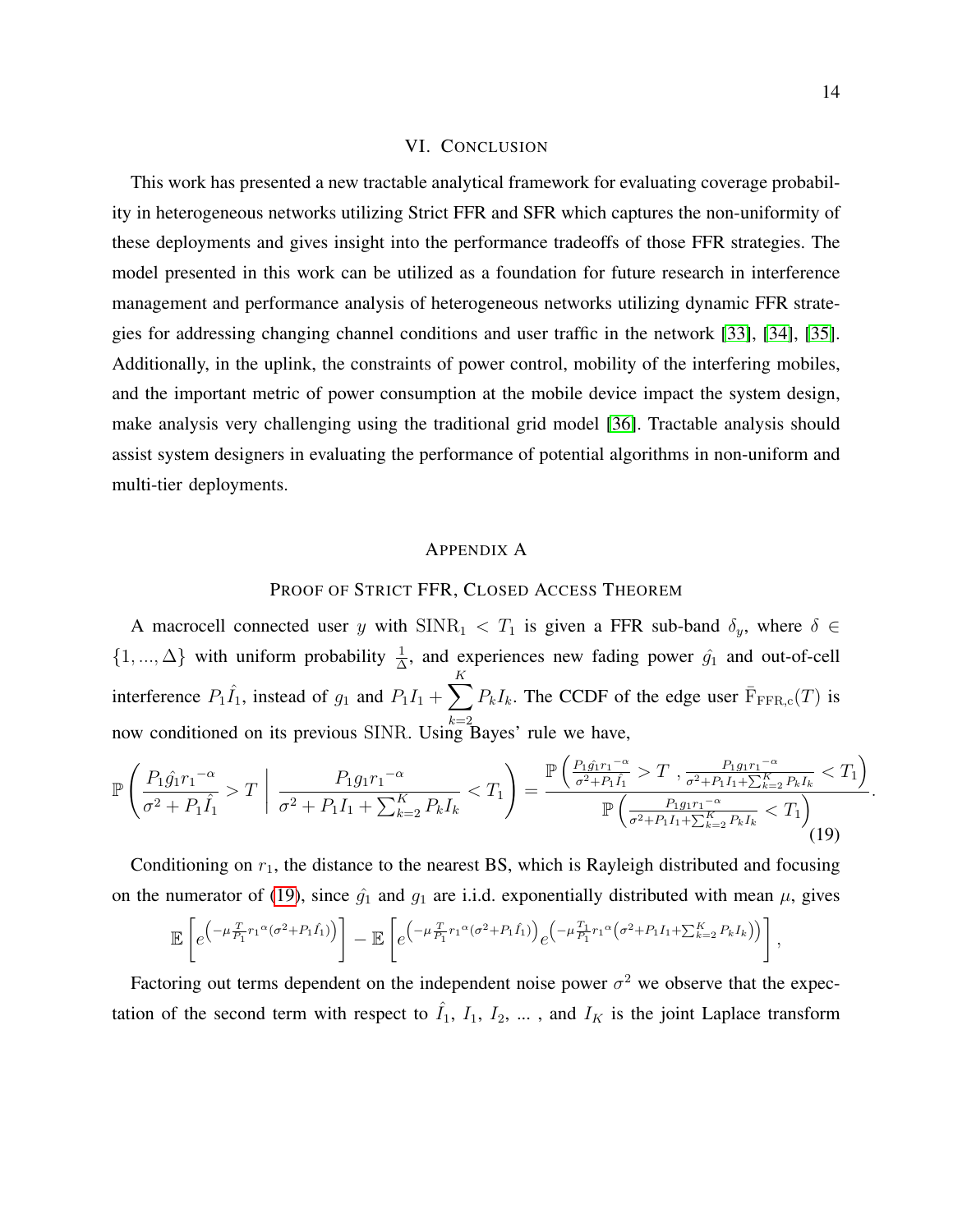#### VI. CONCLUSION

This work has presented a new tractable analytical framework for evaluating coverage probability in heterogeneous networks utilizing Strict FFR and SFR which captures the non-uniformity of these deployments and gives insight into the performance tradeoffs of those FFR strategies. The model presented in this work can be utilized as a foundation for future research in interference management and performance analysis of heterogeneous networks utilizing dynamic FFR strategies for addressing changing channel conditions and user traffic in the network [\[33\]](#page-19-22), [\[34\]](#page-19-23), [\[35\]](#page-19-24). Additionally, in the uplink, the constraints of power control, mobility of the interfering mobiles, and the important metric of power consumption at the mobile device impact the system design, make analysis very challenging using the traditional grid model [\[36\]](#page-19-25). Tractable analysis should assist system designers in evaluating the performance of potential algorithms in non-uniform and multi-tier deployments.

#### APPENDIX A

# PROOF OF STRICT FFR, CLOSED ACCESS THEOREM

A macrocell connected user y with  $SINR_1 < T_1$  is given a FFR sub-band  $\delta_y$ , where  $\delta \in$  $\{1, ..., \Delta\}$  with uniform probability  $\frac{1}{\Delta}$ , and experiences new fading power  $\hat{g}_1$  and out-of-cell interference  $P_1\hat{I}_1$ , instead of  $g_1$  and  $P_1I_1 + \sum$ K now conditioned on its previous SINR. Using Bayes' rule we have,  $P_kI_k$ . The CCDF of the edge user  $\overline{F}_{\text{FFR,c}}(T)$  is

<span id="page-13-0"></span>
$$
\mathbb{P}\left(\frac{P_1\hat{g_1}r_1^{-\alpha}}{\sigma^2 + P_1\hat{I_1}} > T \middle| \frac{P_1g_1r_1^{-\alpha}}{\sigma^2 + P_1I_1 + \sum_{k=2}^K P_kI_k} < T_1\right) = \frac{\mathbb{P}\left(\frac{P_1\hat{g_1}r_1^{-\alpha}}{\sigma^2 + P_1\hat{I_1}} > T \right) \frac{P_1g_1r_1^{-\alpha}}{\sigma^2 + P_1I_1 + \sum_{k=2}^K P_kI_k} < T_1\right)}{\mathbb{P}\left(\frac{P_1g_1r_1^{-\alpha}}{\sigma^2 + P_1I_1 + \sum_{k=2}^K P_kI_k} < T_1\right)}.
$$
\n(19)

Conditioning on  $r_1$ , the distance to the nearest BS, which is Rayleigh distributed and focusing on the numerator of [\(19\)](#page-13-0), since  $\hat{g}_1$  and  $g_1$  are i.i.d. exponentially distributed with mean  $\mu$ , gives

$$
\mathbb{E}\left[e^{\left(-\mu\frac{T}{P_1}r_1\alpha(\sigma^2+P_1\hat{I}_1)\right)}\right]-\mathbb{E}\left[e^{\left(-\mu\frac{T}{P_1}r_1\alpha(\sigma^2+P_1\hat{I}_1)\right)}e^{\left(-\mu\frac{T_1}{P_1}r_1\alpha(\sigma^2+P_1I_1+\sum_{k=2}^K P_kI_k)\right)}\right],
$$

Factoring out terms dependent on the independent noise power  $\sigma^2$  we observe that the expectation of the second term with respect to  $\hat{I}_1$ ,  $I_1$ ,  $I_2$ , ..., and  $I_K$  is the joint Laplace transform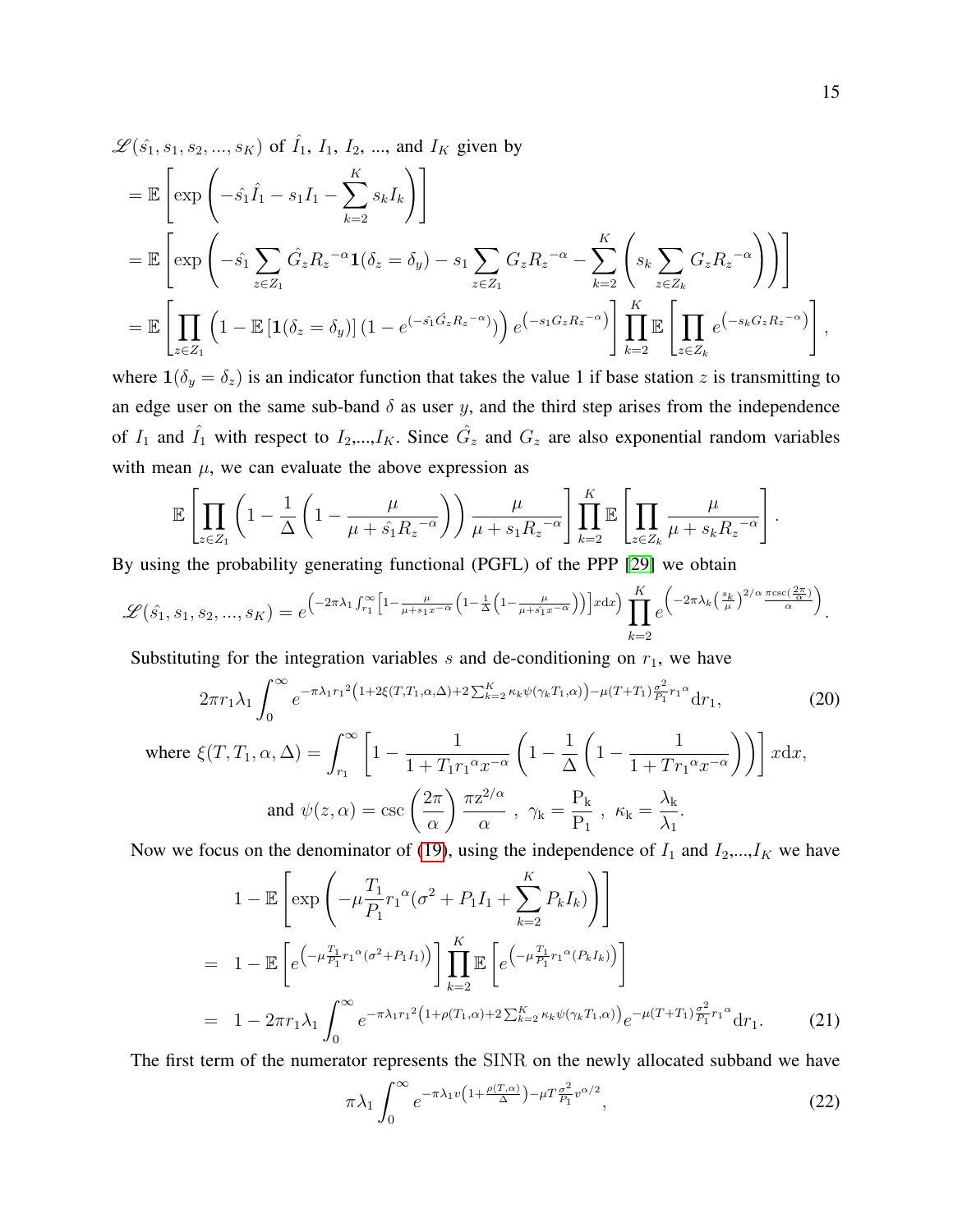$$
\mathcal{L}(\hat{s}_1, s_1, s_2, ..., s_K) \text{ of } \hat{I}_1, I_1, I_2, ..., \text{ and } I_K \text{ given by}
$$
\n
$$
= \mathbb{E}\left[\exp\left(-\hat{s}_1\hat{I}_1 - s_1I_1 - \sum_{k=2}^K s_kI_k\right)\right]
$$
\n
$$
= \mathbb{E}\left[\exp\left(-\hat{s}_1\sum_{z\in Z_1} \hat{G}_z R_z^{-\alpha} \mathbf{1}(\delta_z = \delta_y) - s_1\sum_{z\in Z_1} G_z R_z^{-\alpha} - \sum_{k=2}^K \left(s_k\sum_{z\in Z_k} G_z R_z^{-\alpha}\right)\right)\right]
$$
\n
$$
= \mathbb{E}\left[\prod_{z\in Z_1} \left(1 - \mathbb{E}\left[\mathbf{1}(\delta_z = \delta_y)\right](1 - e^{(-\hat{s}_1\hat{G}_z R_z^{-\alpha})})\right) e^{(-s_1 G_z R_z^{-\alpha})}\right] \prod_{k=2}^K \mathbb{E}\left[\prod_{z\in Z_k} e^{(-s_k G_z R_z^{-\alpha})}\right],
$$

where  $\mathbf{1}(\delta_y = \delta_z)$  is an indicator function that takes the value 1 if base station z is transmitting to an edge user on the same sub-band  $\delta$  as user y, and the third step arises from the independence of  $I_1$  and  $\hat{I_1}$  with respect to  $I_2,...,I_K$ . Since  $\hat{G}_z$  and  $G_z$  are also exponential random variables with mean  $\mu$ , we can evaluate the above expression as

<span id="page-14-0"></span>
$$
\mathbb{E}\left[\prod_{z\in Z_1}\left(1-\frac{1}{\Delta}\left(1-\frac{\mu}{\mu+\hat{s_1}R_z^{-\alpha}}\right)\right)\frac{\mu}{\mu+s_1R_z^{-\alpha}}\right]\prod_{k=2}^K\mathbb{E}\left[\prod_{z\in Z_k}\frac{\mu}{\mu+s_kR_z^{-\alpha}}\right].
$$

By using the probability generating functional (PGFL) of the PPP [\[29\]](#page-19-18) we obtain

$$
\mathscr{L}(\hat{s_1}, s_1, s_2, ..., s_K) = e^{-2\pi\lambda_1 \int_{r_1}^{\infty} \left[1 - \frac{\mu}{\mu + s_1 x^{-\alpha}} \left(1 - \frac{1}{\Delta} \left(1 - \frac{\mu}{\mu + s_1 x^{-\alpha}}\right)\right)\right] x \, dx} \Big) \prod_{k=2}^K e^{-2\pi\lambda_k \left(\frac{s_k}{\mu}\right)^{2/\alpha} \frac{\pi \csc\left(\frac{2\pi}{\alpha}\right)}{\alpha}}.
$$

Substituting for the integration variables  $s$  and de-conditioning on  $r_1$ , we have

$$
2\pi r_1 \lambda_1 \int_0^\infty e^{-\pi \lambda_1 r_1^2 \left(1 + 2\xi(T, T_1, \alpha, \Delta) + 2\sum_{k=2}^K \kappa_k \psi(\gamma_k T_1, \alpha)\right) - \mu(T + T_1) \frac{\sigma^2}{P_1} r_1^\alpha} dr_1,
$$
\n(20)  
\nwhere  $\xi(T, T_1, \alpha, \Delta) = \int_{r_1}^\infty \left[1 - \frac{1}{1 + T_1 r_1^\alpha x^{-\alpha}} \left(1 - \frac{1}{\Delta} \left(1 - \frac{1}{1 + T r_1^\alpha x^{-\alpha}}\right)\right)\right] x \mathrm{d}x,$ \n
$$
\left(2\pi \sqrt{\pi} \frac{2}{\alpha} - \mathcal{P}_k\right) \lambda_k
$$

and 
$$
\psi(z, \alpha) = \csc\left(\frac{2\pi}{\alpha}\right) \frac{\pi z^{2/\alpha}}{\alpha}
$$
,  $\gamma_k = \frac{P_k}{P_1}$ ,  $\kappa_k = \frac{\lambda_k}{\lambda_1}$ .

Now we focus on the denominator of [\(19\)](#page-13-0), using the independence of  $I_1$  and  $I_2,...,I_K$  we have

<span id="page-14-1"></span>
$$
1 - \mathbb{E}\left[\exp\left(-\mu \frac{T_1}{P_1} r_1^{\alpha} (\sigma^2 + P_1 I_1 + \sum_{k=2}^{K} P_k I_k)\right)\right]
$$
  
= 
$$
1 - \mathbb{E}\left[e^{-\mu \frac{T_1}{P_1} r_1^{\alpha} (\sigma^2 + P_1 I_1)}\right] \prod_{k=2}^{K} \mathbb{E}\left[e^{-\mu \frac{T_1}{P_1} r_1^{\alpha} (P_k I_k)}\right]
$$
  
= 
$$
1 - 2\pi r_1 \lambda_1 \int_0^{\infty} e^{-\pi \lambda_1 r_1^2 (1 + \rho(T_1, \alpha) + 2 \sum_{k=2}^{K} \kappa_k \psi(\gamma_k T_1, \alpha))} e^{-\mu (T + T_1) \frac{\sigma^2}{P_1} r_1^{\alpha}} dr_1.
$$
 (21)

The first term of the numerator represents the SINR on the newly allocated subband we have

<span id="page-14-2"></span>
$$
\pi \lambda_1 \int_0^\infty e^{-\pi \lambda_1 v \left(1 + \frac{\rho(T, \alpha)}{\Delta}\right) - \mu T \frac{\sigma^2}{P_1} v^{\alpha/2}},\tag{22}
$$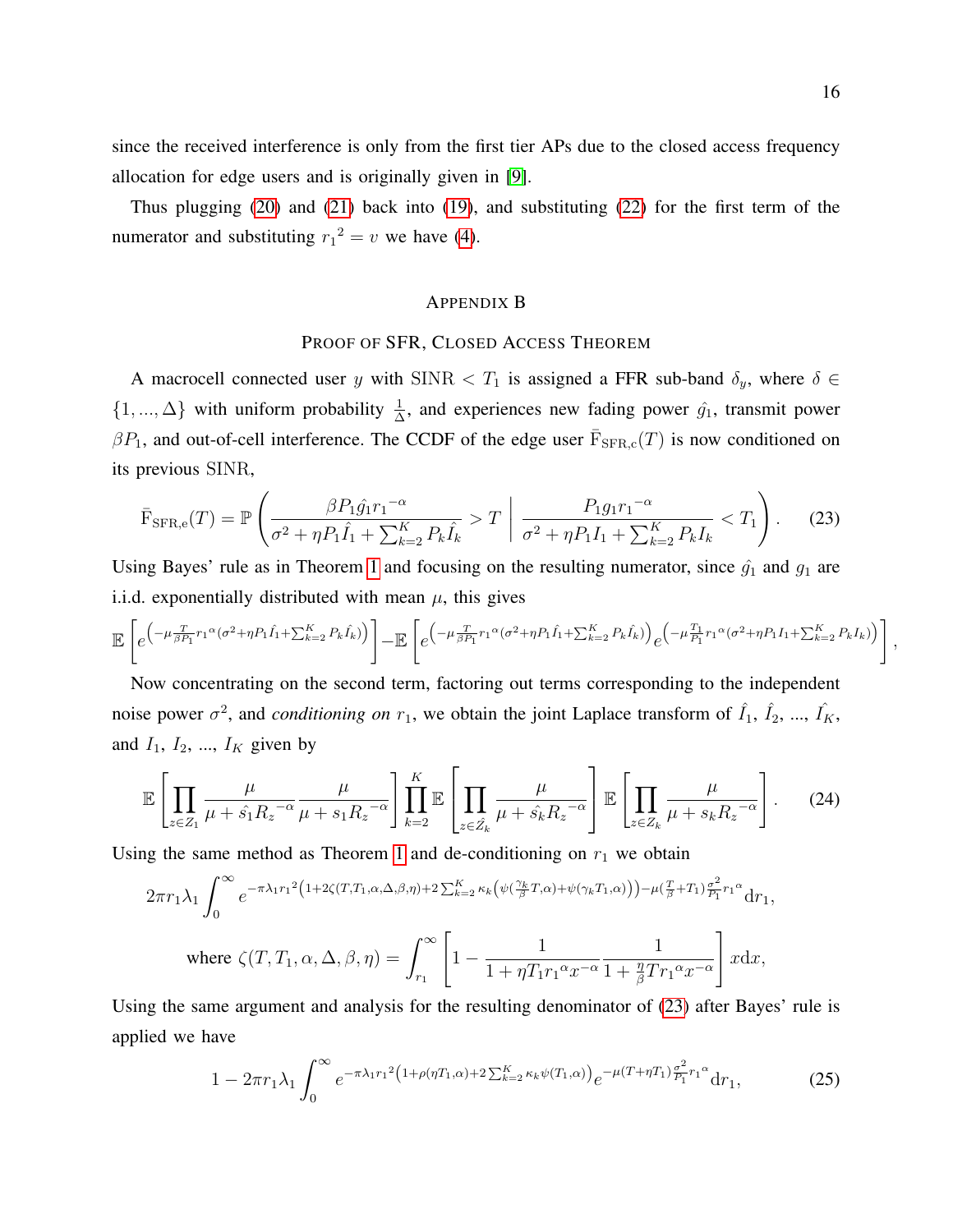since the received interference is only from the first tier APs due to the closed access frequency allocation for edge users and is originally given in [\[9\]](#page-18-8).

Thus plugging [\(20\)](#page-14-0) and [\(21\)](#page-14-1) back into [\(19\)](#page-13-0), and substituting [\(22\)](#page-14-2) for the first term of the numerator and substituting  $r_1^2 = v$  we have [\(4\)](#page-6-2).

# APPENDIX B

# PROOF OF SFR, CLOSED ACCESS THEOREM

A macrocell connected user y with SINR  $\langle T_1 \rangle$  is assigned a FFR sub-band  $\delta_y$ , where  $\delta \in$  $\{1, ..., \Delta\}$  with uniform probability  $\frac{1}{\Delta}$ , and experiences new fading power  $\hat{g}_1$ , transmit power  $\beta P_1$ , and out-of-cell interference. The CCDF of the edge user  $\overline{F}_{\text{SFR},c}(T)$  is now conditioned on its previous SINR,

<span id="page-15-0"></span>
$$
\bar{\mathrm{F}}_{\mathrm{SFR},e}(T) = \mathbb{P}\left(\frac{\beta P_1 \hat{g}_1 r_1^{-\alpha}}{\sigma^2 + \eta P_1 \hat{I}_1 + \sum_{k=2}^K P_k \hat{I}_k} > T \middle| \frac{P_1 g_1 r_1^{-\alpha}}{\sigma^2 + \eta P_1 I_1 + \sum_{k=2}^K P_k I_k} < T_1\right).
$$
 (23)

Using Bayes' rule as in Theorem [1](#page-6-3) and focusing on the resulting numerator, since  $\hat{g}_1$  and  $g_1$  are i.i.d. exponentially distributed with mean  $\mu$ , this gives

$$
\mathbb{E}\left[e^{\left(-\mu\frac{T}{\beta P_1}r_1{}^{\alpha}(\sigma^2+\eta P_1\hat{I_1}+\sum_{k=2}^K P_k\hat{I_k})\right)}\right]-\mathbb{E}\left[e^{\left(-\mu\frac{T}{\beta P_1}r_1{}^{\alpha}(\sigma^2+\eta P_1\hat{I_1}+\sum_{k=2}^K P_k\hat{I_k})\right)}e^{\left(-\mu\frac{T_1}{P_1}r_1{}^{\alpha}(\sigma^2+\eta P_1I_1+\sum_{k=2}^K P_kI_k)\right)}\right],
$$

Now concentrating on the second term, factoring out terms corresponding to the independent noise power  $\sigma^2$ , and *conditioning on*  $r_1$ , we obtain the joint Laplace transform of  $\hat{I}_1$ ,  $\hat{I}_2$ , ...,  $\hat{I}_K$ , and  $I_1$ ,  $I_2$ , ...,  $I_K$  given by

$$
\mathbb{E}\left[\prod_{z\in Z_1}\frac{\mu}{\mu+\hat{s_1}R_z^{-\alpha}}\frac{\mu}{\mu+s_1R_z^{-\alpha}}\right]\prod_{k=2}^K\mathbb{E}\left[\prod_{z\in\hat{Z}_k}\frac{\mu}{\mu+\hat{s_k}R_z^{-\alpha}}\right]\mathbb{E}\left[\prod_{z\in Z_k}\frac{\mu}{\mu+s_kR_z^{-\alpha}}\right].
$$
 (24)

Using the same method as Theorem [1](#page-6-3) and de-conditioning on  $r_1$  we obtain

<span id="page-15-1"></span>
$$
2\pi r_1 \lambda_1 \int_0^\infty e^{-\pi \lambda_1 r_1^2 \left(1+2\zeta(T,T_1,\alpha,\Delta,\beta,\eta)+2\sum_{k=2}^K \kappa_k \left(\psi\left(\frac{\gamma_k}{\beta}T,\alpha\right)+\psi(\gamma_k T_1,\alpha)\right)\right)-\mu\left(\frac{T}{\beta}+T_1\right)\frac{\sigma^2}{P_1}r_1^{\alpha}}{\rm d}r_1,
$$

where 
$$
\zeta(T, T_1, \alpha, \Delta, \beta, \eta) = \int_{r_1}^{\infty} \left[1 - \frac{1}{1 + \eta T_1 r_1^{\alpha} x^{-\alpha}} \frac{1}{1 + \frac{\eta}{\beta} T r_1^{\alpha} x^{-\alpha}}\right] x \mathrm{d}x
$$
,

Using the same argument and analysis for the resulting denominator of [\(23\)](#page-15-0) after Bayes' rule is applied we have

$$
1 - 2\pi r_1 \lambda_1 \int_0^\infty e^{-\pi \lambda_1 r_1^2 \left(1 + \rho(\eta T_1, \alpha) + 2 \sum_{k=2}^K \kappa_k \psi(T_1, \alpha)\right)} e^{-\mu (T + \eta T_1) \frac{\sigma^2}{P_1} r_1^\alpha} dr_1,
$$
 (25)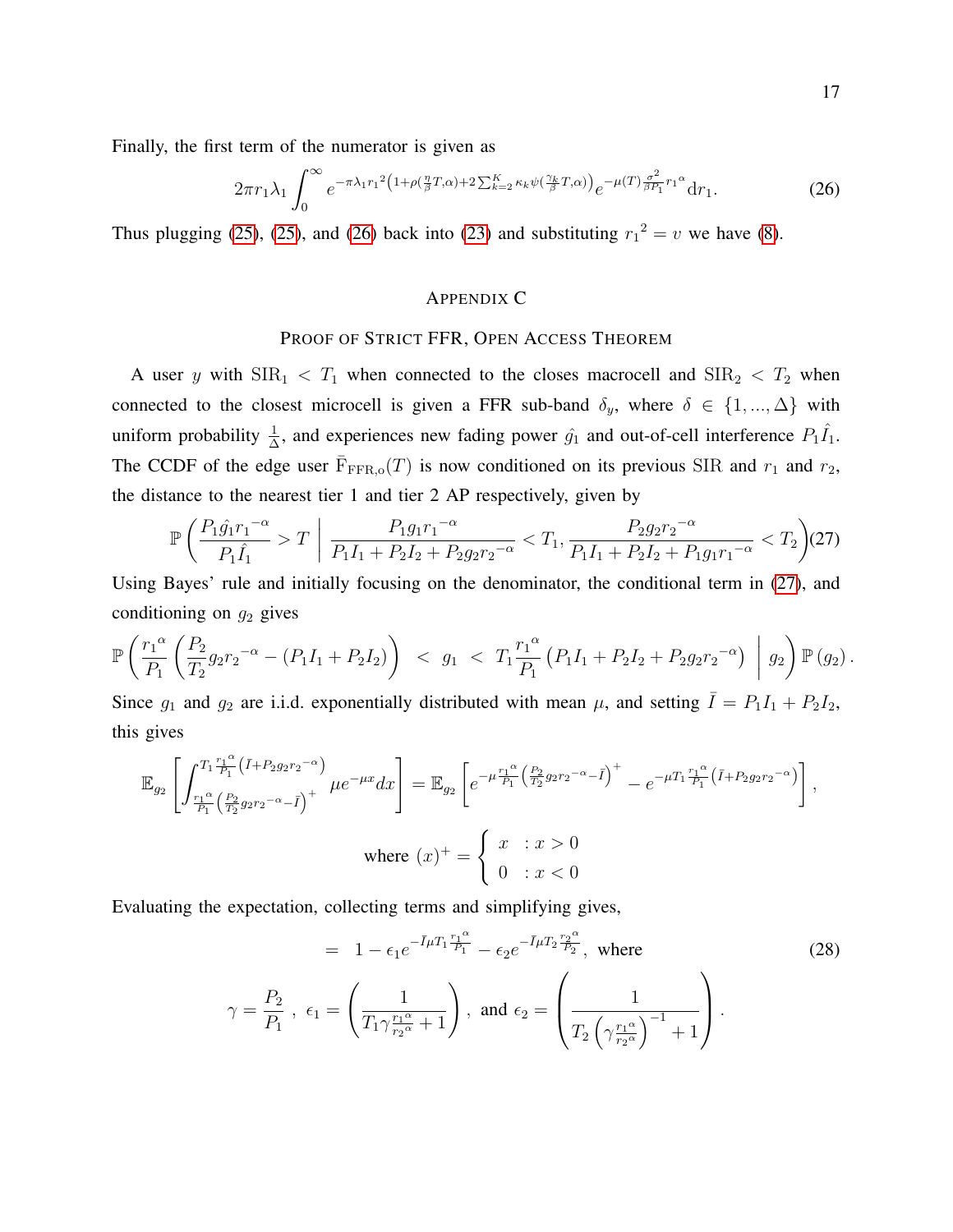Finally, the first term of the numerator is given as

<span id="page-16-0"></span>
$$
2\pi r_1 \lambda_1 \int_0^\infty e^{-\pi \lambda_1 r_1^2 \left(1 + \rho \left(\frac{\eta}{\beta} T, \alpha\right) + 2 \sum_{k=2}^K \kappa_k \psi \left(\frac{\gamma_k}{\beta} T, \alpha\right)\right)} e^{-\mu(T) \frac{\sigma^2}{\beta P_1} r_1^\alpha} dr_1. \tag{26}
$$

Thus plugging [\(25\)](#page-15-1), (25), and [\(26\)](#page-16-0) back into [\(23\)](#page-15-0) and substituting  $r_1^2 = v$  we have [\(8\)](#page-7-0).

# APPENDIX C

## PROOF OF STRICT FFR, OPEN ACCESS THEOREM

A user y with  $\text{SIR}_1 < T_1$  when connected to the closes macrocell and  $\text{SIR}_2 < T_2$  when connected to the closest microcell is given a FFR sub-band  $\delta_y$ , where  $\delta \in \{1, ..., \Delta\}$  with uniform probability  $\frac{1}{\Delta}$ , and experiences new fading power  $\hat{g}_1$  and out-of-cell interference  $P_1 \hat{I}_1$ . The CCDF of the edge user  $\overline{F}_{\text{FFR},o}(T)$  is now conditioned on its previous SIR and  $r_1$  and  $r_2$ , the distance to the nearest tier 1 and tier 2 AP respectively, given by

$$
\mathbb{P}\left(\frac{P_1\hat{g_1}r_1^{-\alpha}}{P_1\hat{I_1}} > T\middle|\ \frac{P_1g_1r_1^{-\alpha}}{P_1I_1 + P_2I_2 + P_2g_2r_2^{-\alpha}} < T_1, \frac{P_2g_2r_2^{-\alpha}}{P_1I_1 + P_2I_2 + P_1g_1r_1^{-\alpha}} < T_2\right) (27)
$$

<span id="page-16-1"></span>Using Bayes' rule and initially focusing on the denominator, the conditional term in [\(27\)](#page-16-1), and conditioning on  $g_2$  gives

$$
\mathbb{P}\left(\frac{r_1^{\alpha}}{P_1}\left(\frac{P_2}{T_2}g_2r_2^{-\alpha}-(P_1I_1+P_2I_2)\right) < g_1 < T_1\frac{r_1^{\alpha}}{P_1}\left(P_1I_1+P_2I_2+P_2g_2r_2^{-\alpha}\right) \Big| g_2\right)\mathbb{P}\left(g_2\right).
$$

Since  $g_1$  and  $g_2$  are i.i.d. exponentially distributed with mean  $\mu$ , and setting  $\overline{I} = P_1I_1 + P_2I_2$ , this gives

$$
\mathbb{E}_{g_2} \left[ \int_{\frac{r_1 \alpha}{p_1} (\frac{p_2}{r_2} g_2 r_2^{-\alpha} - \bar{I})^+}^{T_1 \frac{r_1 \alpha}{p_1} (\bar{I} + P_2 g_2 r_2^{-\alpha})} \mu e^{-\mu x} dx \right] = \mathbb{E}_{g_2} \left[ e^{-\mu \frac{r_1 \alpha}{p_1} (\frac{p_2}{r_2} g_2 r_2^{-\alpha} - \bar{I})^+} - e^{-\mu T_1 \frac{r_1 \alpha}{p_1} (\bar{I} + P_2 g_2 r_2^{-\alpha})} \right],
$$
  
where  $(x)^+ = \begin{cases} x : x > 0 \\ 0 : x < 0 \end{cases}$ 

Evaluating the expectation, collecting terms and simplifying gives,

<span id="page-16-2"></span>
$$
= 1 - \epsilon_1 e^{-\bar{I}\mu T_1 \frac{r_1 \alpha}{P_1}} - \epsilon_2 e^{-\bar{I}\mu T_2 \frac{r_2 \alpha}{P_2}}, \text{ where}
$$
\n
$$
\gamma = \frac{P_2}{P_1}, \ \epsilon_1 = \left(\frac{1}{T_1 \gamma \frac{r_1 \alpha}{r_2 \alpha} + 1}\right), \text{ and } \epsilon_2 = \left(\frac{1}{T_2 \left(\gamma \frac{r_1 \alpha}{r_2 \alpha}\right)^{-1} + 1}\right).
$$
\n(28)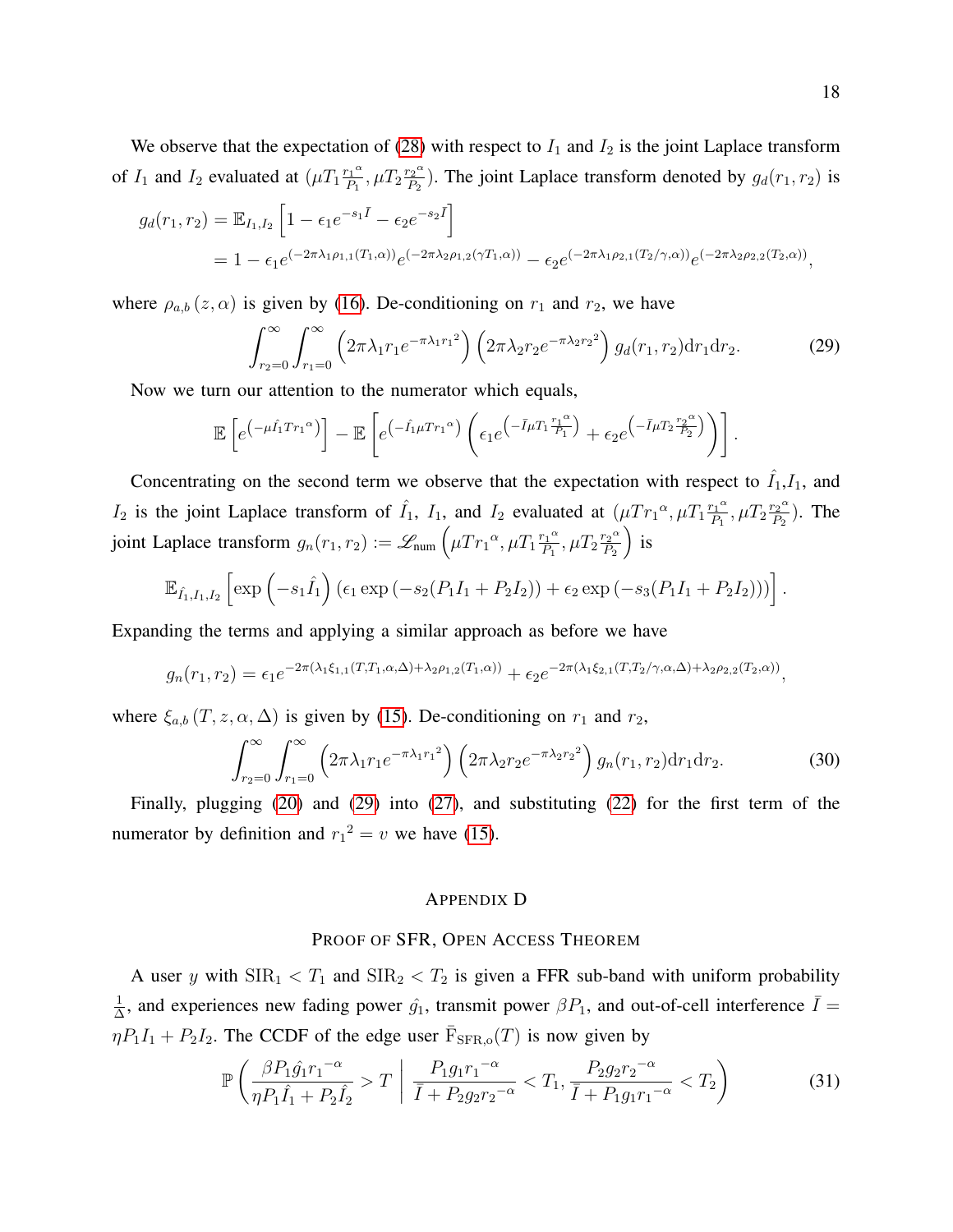We observe that the expectation of [\(28\)](#page-16-2) with respect to  $I_1$  and  $I_2$  is the joint Laplace transform of  $I_1$  and  $I_2$  evaluated at  $(\mu T_1 \frac{r_1 \alpha}{P_1})$  $\frac{r_1^{\alpha}}{P_1}, \mu T_2 \frac{r_2^{\alpha}}{P_2}$  $\frac{r_2^{02}}{P_2}$ ). The joint Laplace transform denoted by  $g_d(r_1, r_2)$  is

$$
g_d(r_1, r_2) = \mathbb{E}_{I_1, I_2} \left[ 1 - \epsilon_1 e^{-s_1 \bar{I}} - \epsilon_2 e^{-s_2 \bar{I}} \right]
$$
  
=  $1 - \epsilon_1 e^{(-2\pi\lambda_1 \rho_{1,1}(T_1, \alpha))} e^{(-2\pi\lambda_2 \rho_{1,2}(\gamma T_1, \alpha))} - \epsilon_2 e^{(-2\pi\lambda_1 \rho_{2,1}(T_2/\gamma, \alpha))} e^{(-2\pi\lambda_2 \rho_{2,2}(T_2, \alpha))},$ 

where  $\rho_{a,b}(z,\alpha)$  is given by [\(16\)](#page-9-1). De-conditioning on  $r_1$  and  $r_2$ , we have

<span id="page-17-0"></span>
$$
\int_{r_2=0}^{\infty} \int_{r_1=0}^{\infty} \left(2\pi\lambda_1 r_1 e^{-\pi\lambda_1 r_1^2}\right) \left(2\pi\lambda_2 r_2 e^{-\pi\lambda_2 r_2^2}\right) g_d(r_1, r_2) \mathrm{d}r_1 \mathrm{d}r_2. \tag{29}
$$

Now we turn our attention to the numerator which equals,

$$
\mathbb{E}\left[e^{\left(-\mu\hat{I}_1Tr_1^{\alpha}\right)}\right] - \mathbb{E}\left[e^{\left(-\hat{I}_1\mu Tr_1^{\alpha}\right)}\left(\epsilon_1e^{\left(-\bar{I}\mu T_1\frac{r_1^{\alpha}}{P_1}\right)} + \epsilon_2e^{\left(-\bar{I}\mu T_2\frac{r_2^{\alpha}}{P_2}\right)}\right)\right].
$$

Concentrating on the second term we observe that the expectation with respect to  $\hat{I}_1, I_1$ , and  $I_2$  is the joint Laplace transform of  $\hat{I}_1$ ,  $I_1$ , and  $I_2$  evaluated at  $(\mu Tr_1^{\alpha}, \mu T_1 \frac{r_1^{\alpha}}{P_1})$  $\frac{r_1^{\alpha}}{P_1}, \mu T_2 \frac{r_2^{\alpha}}{P_2}$  $\frac{r_2^{\alpha}}{P_2}$ ). The joint Laplace transform  $g_n(r_1, r_2) := \mathscr{L}_{num} \left( \mu T r_1^{\alpha}, \mu T_1 \frac{r_1^{\alpha}}{P_1} \right)$  $\frac{r_1^{\alpha}}{P_1}, \mu T_2 \frac{r_2^{\alpha}}{P_2}$  $P<sub>2</sub>$  $\big)$  is

$$
\mathbb{E}_{\hat{I}_1, I_1, I_2} \left[ \exp \left( -s_1 \hat{I}_1 \right) \left( \epsilon_1 \exp \left( -s_2 (P_1 I_1 + P_2 I_2) \right) + \epsilon_2 \exp \left( -s_3 (P_1 I_1 + P_2 I_2) \right) \right) \right].
$$

Expanding the terms and applying a similar approach as before we have

$$
g_n(r_1, r_2) = \epsilon_1 e^{-2\pi(\lambda_1 \xi_{1,1}(T, T_1, \alpha, \Delta) + \lambda_2 \rho_{1,2}(T_1, \alpha))} + \epsilon_2 e^{-2\pi(\lambda_1 \xi_{2,1}(T, T_2/\gamma, \alpha, \Delta) + \lambda_2 \rho_{2,2}(T_2, \alpha))},
$$

where  $\xi_{a,b}$   $(T, z, \alpha, \Delta)$  is given by [\(15\)](#page-9-2). De-conditioning on  $r_1$  and  $r_2$ ,

$$
\int_{r_2=0}^{\infty} \int_{r_1=0}^{\infty} \left(2\pi\lambda_1 r_1 e^{-\pi\lambda_1 r_1^2}\right) \left(2\pi\lambda_2 r_2 e^{-\pi\lambda_2 r_2^2}\right) g_n(r_1, r_2) \mathrm{d}r_1 \mathrm{d}r_2. \tag{30}
$$

Finally, plugging [\(20\)](#page-14-0) and [\(29\)](#page-17-0) into [\(27\)](#page-16-1), and substituting [\(22\)](#page-14-2) for the first term of the numerator by definition and  $r_1^2 = v$  we have [\(15\)](#page-9-2).

# APPENDIX D

# PROOF OF SFR, OPEN ACCESS THEOREM

A user y with  $\text{SIR}_1 < T_1$  and  $\text{SIR}_2 < T_2$  is given a FFR sub-band with uniform probability 1  $\frac{1}{\Delta}$ , and experiences new fading power  $\hat{g}_1$ , transmit power  $\beta P_1$ , and out-of-cell interference  $\bar{I}$  =  $\eta P_1 I_1 + P_2 I_2$ . The CCDF of the edge user  $\overline{F}_{\text{SFR},0}(T)$  is now given by

<span id="page-17-1"></span>
$$
\mathbb{P}\left(\frac{\beta P_1 \hat{g_1} r_1^{-\alpha}}{\eta P_1 \hat{I}_1 + P_2 \hat{I}_2} > T\middle| \frac{P_1 g_1 r_1^{-\alpha}}{\bar{I} + P_2 g_2 r_2^{-\alpha}} < T_1, \frac{P_2 g_2 r_2^{-\alpha}}{\bar{I} + P_1 g_1 r_1^{-\alpha}} < T_2\right) \tag{31}
$$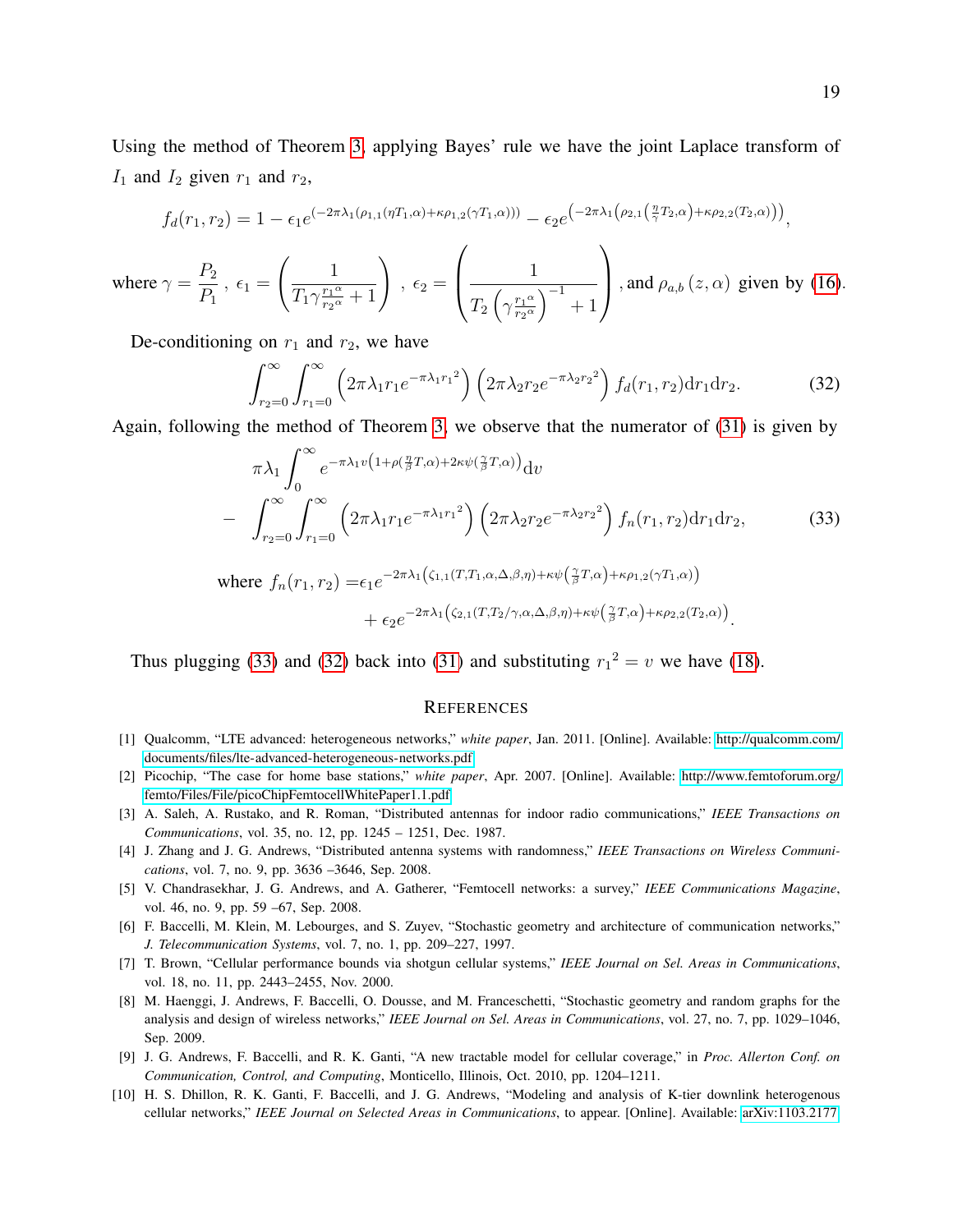Using the method of Theorem [3,](#page-9-3) applying Bayes' rule we have the joint Laplace transform of  $I_1$  and  $I_2$  given  $r_1$  and  $r_2$ ,

$$
f_d(r_1,r_2) = 1 - \epsilon_1 e^{(-2\pi\lambda_1(\rho_{1,1}(\eta T_1,\alpha) + \kappa \rho_{1,2}(\gamma T_1,\alpha)))} - \epsilon_2 e^{(-2\pi\lambda_1(\rho_{2,1}(\frac{\eta}{\gamma}T_2,\alpha) + \kappa \rho_{2,2}(T_2,\alpha)))},
$$

where  $\gamma = \frac{P_2}{P}$  $P_1$ ,  $\epsilon_1 =$  $\begin{pmatrix} 1 \end{pmatrix}$  $\overline{T_1\gamma^{\frac{r_1\alpha}{r_2\alpha}}}$  $\frac{1}{\frac{r_1^{\alpha}}{r_2^{\alpha}}+1}\Biggr) \,\, , \,\, \epsilon_2 =$  $\sqrt{ }$  $\left\lfloor \right\rfloor$ 1  $T_2\left(\gamma\frac{r_1\alpha}{r_2\alpha}\right)$  $\frac{r_1\alpha}{r_2\alpha}\Big)^{-1}+1$  $\setminus$ , and  $\rho_{a,b}(z,\alpha)$  given by [\(16\)](#page-9-1).

De-conditioning on  $r_1$  and  $r_2$ , we have

<span id="page-18-11"></span>
$$
\int_{r_2=0}^{\infty} \int_{r_1=0}^{\infty} \left(2\pi\lambda_1 r_1 e^{-\pi\lambda_1 r_1^2}\right) \left(2\pi\lambda_2 r_2 e^{-\pi\lambda_2 r_2^2}\right) f_d(r_1, r_2) \mathrm{d}r_1 \mathrm{d}r_2. \tag{32}
$$

Again, following the method of Theorem [3,](#page-9-3) we observe that the numerator of [\(31\)](#page-17-1) is given by

<span id="page-18-10"></span>
$$
\pi \lambda_1 \int_0^\infty e^{-\pi \lambda_1 v \left(1 + \rho \left(\frac{\eta}{\beta} T, \alpha\right) + 2\kappa \psi \left(\frac{\gamma}{\beta} T, \alpha\right)\right)} dv
$$
\n
$$
- \int_{r_2=0}^\infty \int_{r_1=0}^\infty \left(2\pi \lambda_1 r_1 e^{-\pi \lambda_1 r_1^2}\right) \left(2\pi \lambda_2 r_2 e^{-\pi \lambda_2 r_2^2}\right) f_n(r_1, r_2) dr_1 dr_2,
$$
\nwhere  $f_n(r_1, r_2) = \epsilon_1 e^{-2\pi \lambda_1 \left(\zeta_{1,1}(T, T_1, \alpha, \Delta, \beta, \eta) + \kappa \psi \left(\frac{\gamma}{\beta} T, \alpha\right) + \kappa \rho_{1,2}(\gamma T_1, \alpha)\right)}$  (33)

$$
+\epsilon_2 e^{-2\pi\lambda_1\left(\zeta_{2,1}(T,T_2/\gamma,\alpha,\Delta,\beta,\eta)+\kappa\psi\left(\frac{\gamma}{\beta}T,\alpha\right)+\kappa\rho_{2,2}(T_2,\alpha)\right)}.
$$

Thus plugging [\(33\)](#page-18-10) and [\(32\)](#page-18-11) back into [\(31\)](#page-17-1) and substituting  $r_1^2 = v$  we have [\(18\)](#page-10-0).

#### **REFERENCES**

- <span id="page-18-0"></span>[1] Qualcomm, "LTE advanced: heterogeneous networks," *white paper*, Jan. 2011. [Online]. Available: [http://qualcomm.com/](http://qualcomm.com/documents/files/lte-advanced-heterogeneous-networks.pdf) [documents/files/lte-advanced-heterogeneous-networks.pdf](http://qualcomm.com/documents/files/lte-advanced-heterogeneous-networks.pdf)
- <span id="page-18-1"></span>[2] Picochip, "The case for home base stations," *white paper*, Apr. 2007. [Online]. Available: [http://www.femtoforum.org/](http://www.femtoforum.org/femto/Files/File/picoChip Femtocell White Paper 1.1.pdf) [femto/Files/File/picoChipFemtocellWhitePaper1.1.pdf](http://www.femtoforum.org/femto/Files/File/picoChip Femtocell White Paper 1.1.pdf)
- <span id="page-18-2"></span>[3] A. Saleh, A. Rustako, and R. Roman, "Distributed antennas for indoor radio communications," *IEEE Transactions on Communications*, vol. 35, no. 12, pp. 1245 – 1251, Dec. 1987.
- <span id="page-18-3"></span>[4] J. Zhang and J. G. Andrews, "Distributed antenna systems with randomness," *IEEE Transactions on Wireless Communications*, vol. 7, no. 9, pp. 3636 –3646, Sep. 2008.
- <span id="page-18-4"></span>[5] V. Chandrasekhar, J. G. Andrews, and A. Gatherer, "Femtocell networks: a survey," *IEEE Communications Magazine*, vol. 46, no. 9, pp. 59 –67, Sep. 2008.
- <span id="page-18-5"></span>[6] F. Baccelli, M. Klein, M. Lebourges, and S. Zuyev, "Stochastic geometry and architecture of communication networks," *J. Telecommunication Systems*, vol. 7, no. 1, pp. 209–227, 1997.
- <span id="page-18-6"></span>[7] T. Brown, "Cellular performance bounds via shotgun cellular systems," *IEEE Journal on Sel. Areas in Communications*, vol. 18, no. 11, pp. 2443–2455, Nov. 2000.
- <span id="page-18-7"></span>[8] M. Haenggi, J. Andrews, F. Baccelli, O. Dousse, and M. Franceschetti, "Stochastic geometry and random graphs for the analysis and design of wireless networks," *IEEE Journal on Sel. Areas in Communications*, vol. 27, no. 7, pp. 1029–1046, Sep. 2009.
- <span id="page-18-8"></span>[9] J. G. Andrews, F. Baccelli, and R. K. Ganti, "A new tractable model for cellular coverage," in *Proc. Allerton Conf. on Communication, Control, and Computing*, Monticello, Illinois, Oct. 2010, pp. 1204–1211.
- <span id="page-18-9"></span>[10] H. S. Dhillon, R. K. Ganti, F. Baccelli, and J. G. Andrews, "Modeling and analysis of K-tier downlink heterogenous cellular networks," *IEEE Journal on Selected Areas in Communications*, to appear. [Online]. Available:<arXiv:1103.2177>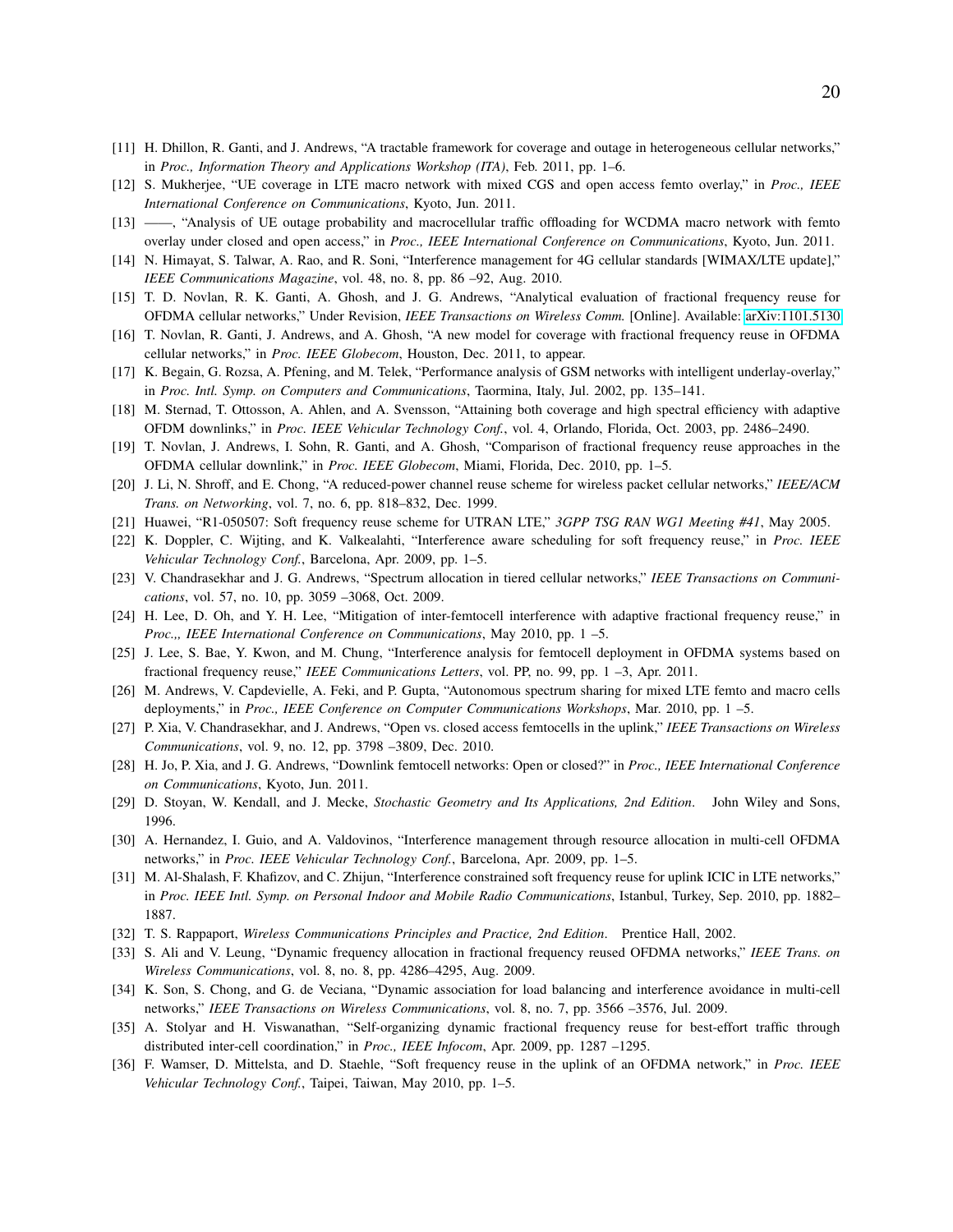- <span id="page-19-0"></span>[11] H. Dhillon, R. Ganti, and J. Andrews, "A tractable framework for coverage and outage in heterogeneous cellular networks," in *Proc., Information Theory and Applications Workshop (ITA)*, Feb. 2011, pp. 1–6.
- <span id="page-19-1"></span>[12] S. Mukherjee, "UE coverage in LTE macro network with mixed CGS and open access femto overlay," in *Proc., IEEE International Conference on Communications*, Kyoto, Jun. 2011.
- <span id="page-19-2"></span>[13] ——, "Analysis of UE outage probability and macrocellular traffic offloading for WCDMA macro network with femto overlay under closed and open access," in *Proc., IEEE International Conference on Communications*, Kyoto, Jun. 2011.
- <span id="page-19-3"></span>[14] N. Himayat, S. Talwar, A. Rao, and R. Soni, "Interference management for 4G cellular standards [WIMAX/LTE update]," *IEEE Communications Magazine*, vol. 48, no. 8, pp. 86 –92, Aug. 2010.
- <span id="page-19-4"></span>[15] T. D. Novlan, R. K. Ganti, A. Ghosh, and J. G. Andrews, "Analytical evaluation of fractional frequency reuse for OFDMA cellular networks," Under Revision, *IEEE Transactions on Wireless Comm.* [Online]. Available:<arXiv:1101.5130>
- <span id="page-19-5"></span>[16] T. Novlan, R. Ganti, J. Andrews, and A. Ghosh, "A new model for coverage with fractional frequency reuse in OFDMA cellular networks," in *Proc. IEEE Globecom*, Houston, Dec. 2011, to appear.
- <span id="page-19-6"></span>[17] K. Begain, G. Rozsa, A. Pfening, and M. Telek, "Performance analysis of GSM networks with intelligent underlay-overlay," in *Proc. Intl. Symp. on Computers and Communications*, Taormina, Italy, Jul. 2002, pp. 135–141.
- <span id="page-19-7"></span>[18] M. Sternad, T. Ottosson, A. Ahlen, and A. Svensson, "Attaining both coverage and high spectral efficiency with adaptive OFDM downlinks," in *Proc. IEEE Vehicular Technology Conf.*, vol. 4, Orlando, Florida, Oct. 2003, pp. 2486–2490.
- <span id="page-19-8"></span>[19] T. Novlan, J. Andrews, I. Sohn, R. Ganti, and A. Ghosh, "Comparison of fractional frequency reuse approaches in the OFDMA cellular downlink," in *Proc. IEEE Globecom*, Miami, Florida, Dec. 2010, pp. 1–5.
- <span id="page-19-9"></span>[20] J. Li, N. Shroff, and E. Chong, "A reduced-power channel reuse scheme for wireless packet cellular networks," *IEEE/ACM Trans. on Networking*, vol. 7, no. 6, pp. 818–832, Dec. 1999.
- <span id="page-19-10"></span>[21] Huawei, "R1-050507: Soft frequency reuse scheme for UTRAN LTE," *3GPP TSG RAN WG1 Meeting #41*, May 2005.
- <span id="page-19-11"></span>[22] K. Doppler, C. Wijting, and K. Valkealahti, "Interference aware scheduling for soft frequency reuse," in *Proc. IEEE Vehicular Technology Conf.*, Barcelona, Apr. 2009, pp. 1–5.
- <span id="page-19-12"></span>[23] V. Chandrasekhar and J. G. Andrews, "Spectrum allocation in tiered cellular networks," *IEEE Transactions on Communications*, vol. 57, no. 10, pp. 3059 –3068, Oct. 2009.
- <span id="page-19-13"></span>[24] H. Lee, D. Oh, and Y. H. Lee, "Mitigation of inter-femtocell interference with adaptive fractional frequency reuse," in *Proc.,, IEEE International Conference on Communications*, May 2010, pp. 1 –5.
- <span id="page-19-14"></span>[25] J. Lee, S. Bae, Y. Kwon, and M. Chung, "Interference analysis for femtocell deployment in OFDMA systems based on fractional frequency reuse," *IEEE Communications Letters*, vol. PP, no. 99, pp. 1 –3, Apr. 2011.
- <span id="page-19-15"></span>[26] M. Andrews, V. Capdevielle, A. Feki, and P. Gupta, "Autonomous spectrum sharing for mixed LTE femto and macro cells deployments," in *Proc., IEEE Conference on Computer Communications Workshops*, Mar. 2010, pp. 1 –5.
- <span id="page-19-16"></span>[27] P. Xia, V. Chandrasekhar, and J. Andrews, "Open vs. closed access femtocells in the uplink," *IEEE Transactions on Wireless Communications*, vol. 9, no. 12, pp. 3798 –3809, Dec. 2010.
- <span id="page-19-17"></span>[28] H. Jo, P. Xia, and J. G. Andrews, "Downlink femtocell networks: Open or closed?" in *Proc., IEEE International Conference on Communications*, Kyoto, Jun. 2011.
- <span id="page-19-18"></span>[29] D. Stoyan, W. Kendall, and J. Mecke, *Stochastic Geometry and Its Applications, 2nd Edition*. John Wiley and Sons, 1996.
- <span id="page-19-19"></span>[30] A. Hernandez, I. Guio, and A. Valdovinos, "Interference management through resource allocation in multi-cell OFDMA networks," in *Proc. IEEE Vehicular Technology Conf.*, Barcelona, Apr. 2009, pp. 1–5.
- <span id="page-19-20"></span>[31] M. Al-Shalash, F. Khafizov, and C. Zhijun, "Interference constrained soft frequency reuse for uplink ICIC in LTE networks," in *Proc. IEEE Intl. Symp. on Personal Indoor and Mobile Radio Communications*, Istanbul, Turkey, Sep. 2010, pp. 1882– 1887.
- <span id="page-19-21"></span>[32] T. S. Rappaport, *Wireless Communications Principles and Practice, 2nd Edition*. Prentice Hall, 2002.
- <span id="page-19-22"></span>[33] S. Ali and V. Leung, "Dynamic frequency allocation in fractional frequency reused OFDMA networks," *IEEE Trans. on Wireless Communications*, vol. 8, no. 8, pp. 4286–4295, Aug. 2009.
- <span id="page-19-23"></span>[34] K. Son, S. Chong, and G. de Veciana, "Dynamic association for load balancing and interference avoidance in multi-cell networks," *IEEE Transactions on Wireless Communications*, vol. 8, no. 7, pp. 3566 –3576, Jul. 2009.
- <span id="page-19-24"></span>[35] A. Stolyar and H. Viswanathan, "Self-organizing dynamic fractional frequency reuse for best-effort traffic through distributed inter-cell coordination," in *Proc., IEEE Infocom*, Apr. 2009, pp. 1287 –1295.
- <span id="page-19-25"></span>[36] F. Wamser, D. Mittelsta, and D. Staehle, "Soft frequency reuse in the uplink of an OFDMA network," in *Proc. IEEE Vehicular Technology Conf.*, Taipei, Taiwan, May 2010, pp. 1–5.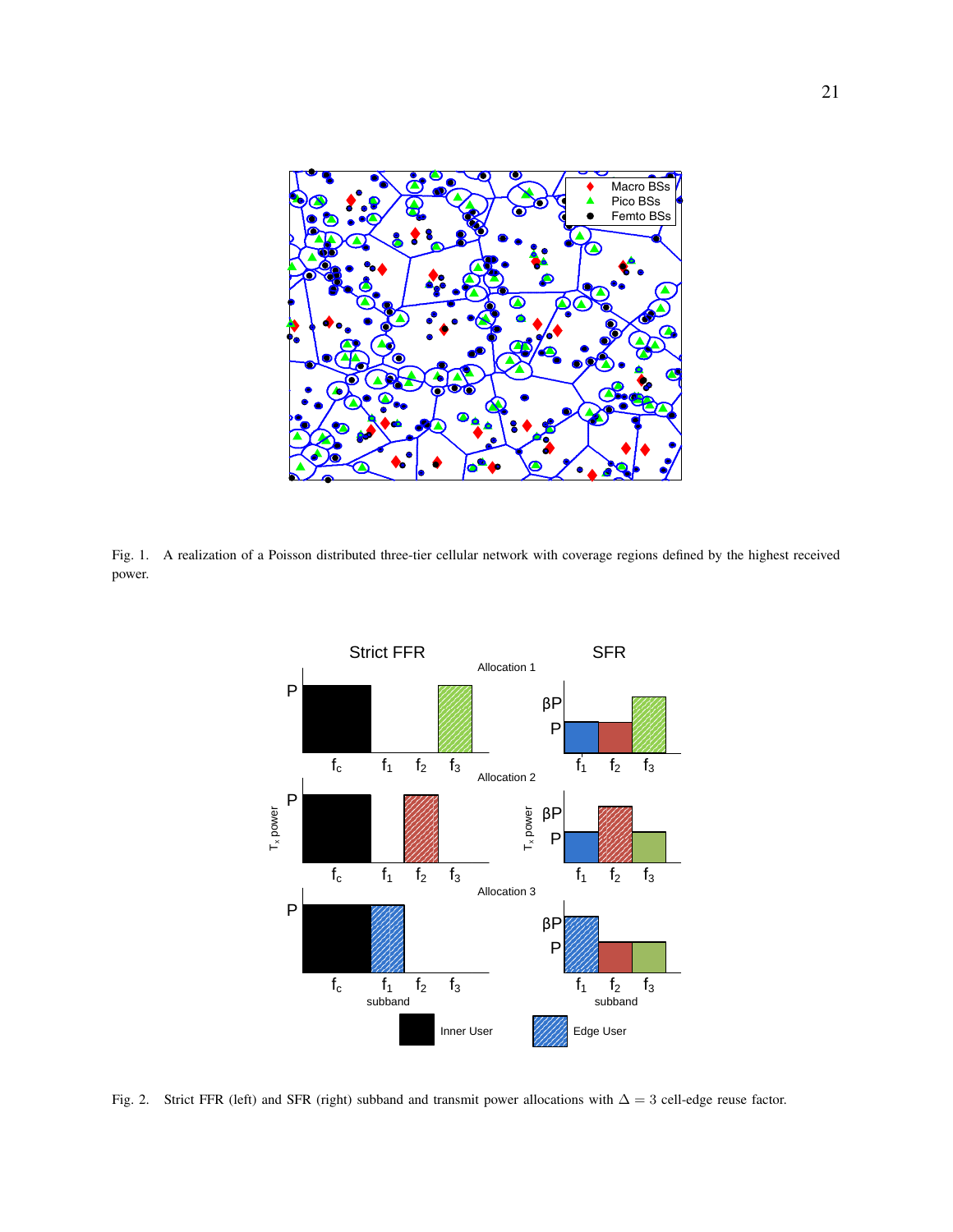

<span id="page-20-1"></span>Fig. 1. A realization of a Poisson distributed three-tier cellular network with coverage regions defined by the highest received power.



<span id="page-20-0"></span>Fig. 2. Strict FFR (left) and SFR (right) subband and transmit power allocations with  $\Delta = 3$  cell-edge reuse factor.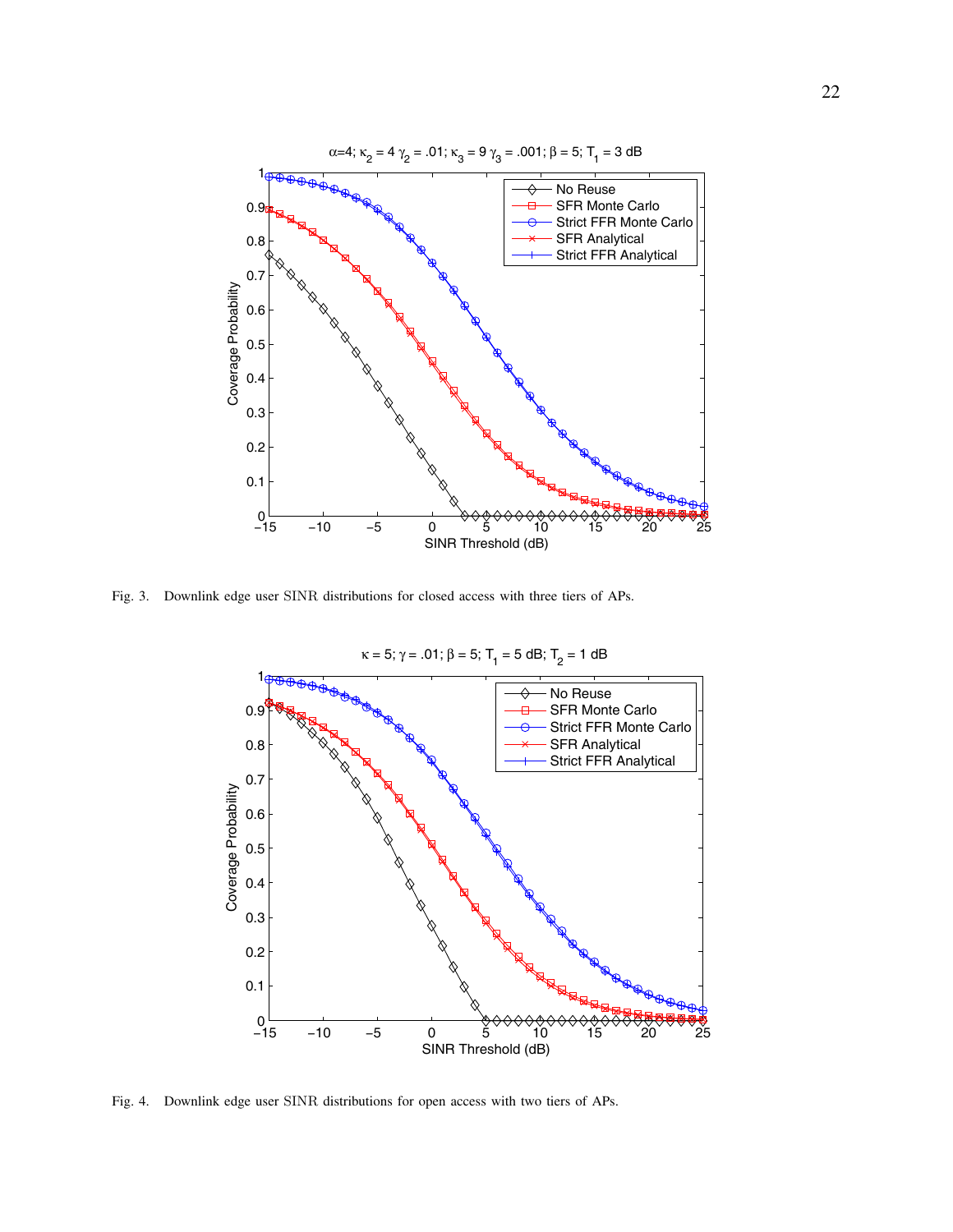

<span id="page-21-0"></span>Fig. 3. Downlink edge user SINR distributions for closed access with three tiers of APs.



<span id="page-21-1"></span>Fig. 4. Downlink edge user SINR distributions for open access with two tiers of APs.